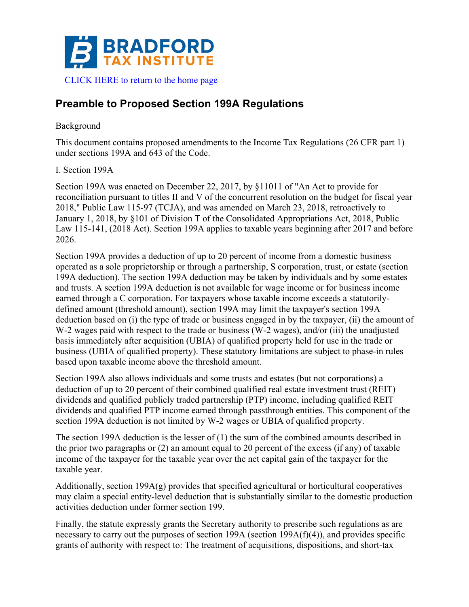

# **Preamble to Proposed Section 199A Regulations**

# Background

This document contains proposed amendments to the Income Tax Regulations (26 CFR part 1) under sections 199A and 643 of the Code.

# I. Section 199A

Section 199A was enacted on December 22, 2017, by §11011 of "An Act to provide for reconciliation pursuant to titles II and V of the concurrent resolution on the budget for fiscal year 2018," Public Law 115-97 (TCJA), and was amended on March 23, 2018, retroactively to January 1, 2018, by §101 of Division T of the Consolidated Appropriations Act, 2018, Public Law 115-141, (2018 Act). Section 199A applies to taxable years beginning after 2017 and before 2026.

Section 199A provides a deduction of up to 20 percent of income from a domestic business operated as a sole proprietorship or through a partnership, S corporation, trust, or estate (section 199A deduction). The section 199A deduction may be taken by individuals and by some estates and trusts. A section 199A deduction is not available for wage income or for business income earned through a C corporation. For taxpayers whose taxable income exceeds a statutorilydefined amount (threshold amount), section 199A may limit the taxpayer's section 199A deduction based on (i) the type of trade or business engaged in by the taxpayer, (ii) the amount of W-2 wages paid with respect to the trade or business (W-2 wages), and/or (iii) the unadjusted basis immediately after acquisition (UBIA) of qualified property held for use in the trade or business (UBIA of qualified property). These statutory limitations are subject to phase-in rules based upon taxable income above the threshold amount.

Section 199A also allows individuals and some trusts and estates (but not corporations) a deduction of up to 20 percent of their combined qualified real estate investment trust (REIT) dividends and qualified publicly traded partnership (PTP) income, including qualified REIT dividends and qualified PTP income earned through passthrough entities. This component of the section 199A deduction is not limited by W-2 wages or UBIA of qualified property.

The section 199A deduction is the lesser of (1) the sum of the combined amounts described in the prior two paragraphs or (2) an amount equal to 20 percent of the excess (if any) of taxable income of the taxpayer for the taxable year over the net capital gain of the taxpayer for the taxable year.

Additionally, section 199A(g) provides that specified agricultural or horticultural cooperatives may claim a special entity-level deduction that is substantially similar to the domestic production activities deduction under former section 199.

Finally, the statute expressly grants the Secretary authority to prescribe such regulations as are necessary to carry out the purposes of section 199A (section 199A(f)(4)), and provides specific grants of authority with respect to: The treatment of acquisitions, dispositions, and short-tax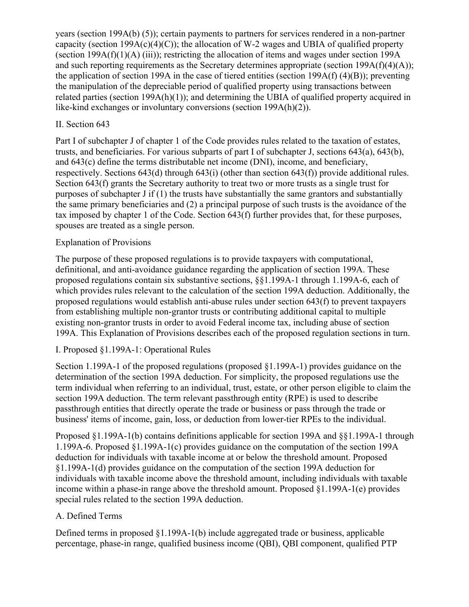years (section 199A(b) (5)); certain payments to partners for services rendered in a non-partner capacity (section 199A(c)(4)(C)); the allocation of W-2 wages and UBIA of qualified property (section 199A(f)(1)(A) (iii)); restricting the allocation of items and wages under section 199A and such reporting requirements as the Secretary determines appropriate (section 199A(f)(4)(A)); the application of section 199A in the case of tiered entities (section 199A(f) (4)(B)); preventing the manipulation of the depreciable period of qualified property using transactions between related parties (section 199A(h)(1)); and determining the UBIA of qualified property acquired in like-kind exchanges or involuntary conversions (section 199A(h)(2)).

# II. Section 643

Part I of subchapter J of chapter 1 of the Code provides rules related to the taxation of estates, trusts, and beneficiaries. For various subparts of part I of subchapter J, sections 643(a), 643(b), and 643(c) define the terms distributable net income (DNI), income, and beneficiary, respectively. Sections 643(d) through 643(i) (other than section 643(f)) provide additional rules. Section 643(f) grants the Secretary authority to treat two or more trusts as a single trust for purposes of subchapter J if (1) the trusts have substantially the same grantors and substantially the same primary beneficiaries and (2) a principal purpose of such trusts is the avoidance of the tax imposed by chapter 1 of the Code. Section 643(f) further provides that, for these purposes, spouses are treated as a single person.

# Explanation of Provisions

The purpose of these proposed regulations is to provide taxpayers with computational, definitional, and anti-avoidance guidance regarding the application of section 199A. These proposed regulations contain six substantive sections, §§1.199A-1 through 1.199A-6, each of which provides rules relevant to the calculation of the section 199A deduction. Additionally, the proposed regulations would establish anti-abuse rules under section 643(f) to prevent taxpayers from establishing multiple non-grantor trusts or contributing additional capital to multiple existing non-grantor trusts in order to avoid Federal income tax, including abuse of section 199A. This Explanation of Provisions describes each of the proposed regulation sections in turn.

# I. Proposed §1.199A-1: Operational Rules

Section 1.199A-1 of the proposed regulations (proposed §1.199A-1) provides guidance on the determination of the section 199A deduction. For simplicity, the proposed regulations use the term individual when referring to an individual, trust, estate, or other person eligible to claim the section 199A deduction. The term relevant passthrough entity (RPE) is used to describe passthrough entities that directly operate the trade or business or pass through the trade or business' items of income, gain, loss, or deduction from lower-tier RPEs to the individual.

Proposed §1.199A-1(b) contains definitions applicable for section 199A and §§1.199A-1 through 1.199A-6. Proposed §1.199A-1(c) provides guidance on the computation of the section 199A deduction for individuals with taxable income at or below the threshold amount. Proposed §1.199A-1(d) provides guidance on the computation of the section 199A deduction for individuals with taxable income above the threshold amount, including individuals with taxable income within a phase-in range above the threshold amount. Proposed §1.199A-1(e) provides special rules related to the section 199A deduction.

# A. Defined Terms

Defined terms in proposed §1.199A-1(b) include aggregated trade or business, applicable percentage, phase-in range, qualified business income (QBI), QBI component, qualified PTP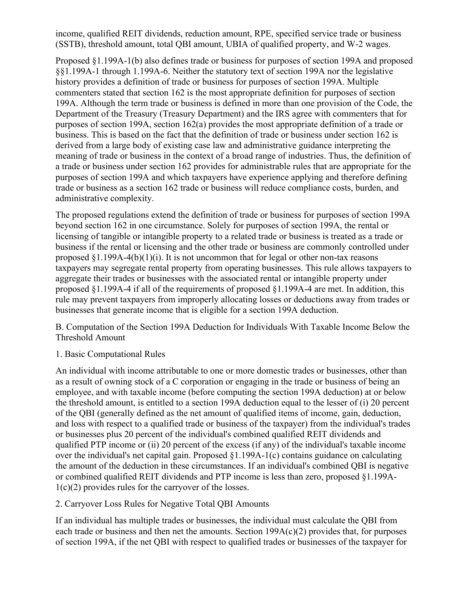income, qualified REIT dividends, reduction amount, RPE, specified service trade or business (SSTB), threshold amount, total QBI amount, UBIA of qualified property, and W-2 wages.

Proposed §1.199A-1(b) also defines trade or business for purposes of section 199A and proposed §§1.199A-1 through 1.199A-6. Neither the statutory text of section 199A nor the legislative history provides a definition of trade or business for purposes of section 199A. Multiple commenters stated that section 162 is the most appropriate definition for purposes of section 199A. Although the term trade or business is defined in more than one provision of the Code, the Department of the Treasury (Treasury Department) and the IRS agree with commenters that for purposes of section 199A, section 162(a) provides the most appropriate definition of a trade or business. This is based on the fact that the definition of trade or business under section 162 is derived from a large body of existing case law and administrative guidance interpreting the meaning of trade or business in the context of a broad range of industries. Thus, the definition of a trade or business under section 162 provides for administrable rules that are appropriate for the purposes of section 199A and which taxpayers have experience applying and therefore defining trade or business as a section 162 trade or business will reduce compliance costs, burden, and administrative complexity.

The proposed regulations extend the definition of trade or business for purposes of section 199A beyond section 162 in one circumstance. Solely for purposes of section 199A, the rental or licensing of tangible or intangible property to a related trade or business is treated as a trade or business if the rental or licensing and the other trade or business are commonly controlled under proposed  $\S1.199A-4(b)(1)(i)$ . It is not uncommon that for legal or other non-tax reasons taxpayers may segregate rental property from operating businesses. This rule allows taxpayers to aggregate their trades or businesses with the associated rental or intangible property under proposed §1.199A-4 if all of the requirements of proposed §1.199A-4 are met. In addition, this rule may prevent taxpayers from improperly allocating losses or deductions away from trades or businesses that generate income that is eligible for a section 199A deduction.

B. Computation of the Section 199A Deduction for Individuals With Taxable Income Below the Threshold Amount

# 1. Basic Computational Rules

An individual with income attributable to one or more domestic trades or businesses, other than as a result of owning stock of a C corporation or engaging in the trade or business of being an employee, and with taxable income (before computing the section 199A deduction) at or below the threshold amount, is entitled to a section 199A deduction equal to the lesser of (i) 20 percent of the QBI (generally defined as the net amount of qualified items of income, gain, deduction, and loss with respect to a qualified trade or business of the taxpayer) from the individual's trades or businesses plus 20 percent of the individual's combined qualified REIT dividends and qualified PTP income or (ii) 20 percent of the excess (if any) of the individual's taxable income over the individual's net capital gain. Proposed §1.199A-1(c) contains guidance on calculating the amount of the deduction in these circumstances. If an individual's combined QBI is negative or combined qualified REIT dividends and PTP income is less than zero, proposed §1.199A- $1(c)(2)$  provides rules for the carryover of the losses.

# 2. Carryover Loss Rules for Negative Total QBI Amounts

If an individual has multiple trades or businesses, the individual must calculate the QBI from each trade or business and then net the amounts. Section  $199A(c)(2)$  provides that, for purposes of section 199A, if the net QBI with respect to qualified trades or businesses of the taxpayer for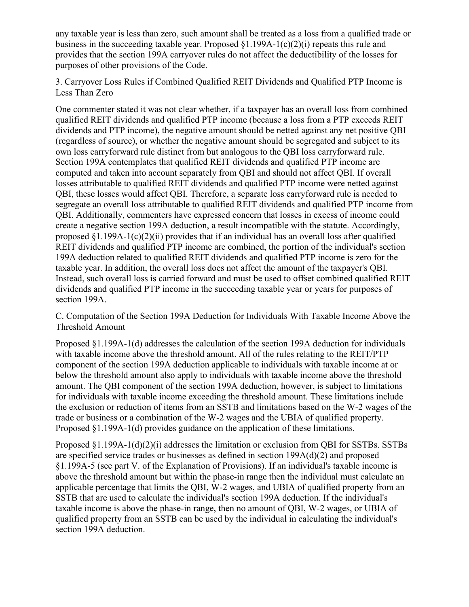any taxable year is less than zero, such amount shall be treated as a loss from a qualified trade or business in the succeeding taxable year. Proposed §1.199A-1(c)(2)(i) repeats this rule and provides that the section 199A carryover rules do not affect the deductibility of the losses for purposes of other provisions of the Code.

3. Carryover Loss Rules if Combined Qualified REIT Dividends and Qualified PTP Income is Less Than Zero

One commenter stated it was not clear whether, if a taxpayer has an overall loss from combined qualified REIT dividends and qualified PTP income (because a loss from a PTP exceeds REIT dividends and PTP income), the negative amount should be netted against any net positive QBI (regardless of source), or whether the negative amount should be segregated and subject to its own loss carryforward rule distinct from but analogous to the QBI loss carryforward rule. Section 199A contemplates that qualified REIT dividends and qualified PTP income are computed and taken into account separately from QBI and should not affect QBI. If overall losses attributable to qualified REIT dividends and qualified PTP income were netted against QBI, these losses would affect QBI. Therefore, a separate loss carryforward rule is needed to segregate an overall loss attributable to qualified REIT dividends and qualified PTP income from QBI. Additionally, commenters have expressed concern that losses in excess of income could create a negative section 199A deduction, a result incompatible with the statute. Accordingly, proposed  $\S1.199A-1(c)(2)(ii)$  provides that if an individual has an overall loss after qualified REIT dividends and qualified PTP income are combined, the portion of the individual's section 199A deduction related to qualified REIT dividends and qualified PTP income is zero for the taxable year. In addition, the overall loss does not affect the amount of the taxpayer's QBI. Instead, such overall loss is carried forward and must be used to offset combined qualified REIT dividends and qualified PTP income in the succeeding taxable year or years for purposes of section 199A.

C. Computation of the Section 199A Deduction for Individuals With Taxable Income Above the Threshold Amount

Proposed §1.199A-1(d) addresses the calculation of the section 199A deduction for individuals with taxable income above the threshold amount. All of the rules relating to the REIT/PTP component of the section 199A deduction applicable to individuals with taxable income at or below the threshold amount also apply to individuals with taxable income above the threshold amount. The QBI component of the section 199A deduction, however, is subject to limitations for individuals with taxable income exceeding the threshold amount. These limitations include the exclusion or reduction of items from an SSTB and limitations based on the W-2 wages of the trade or business or a combination of the W-2 wages and the UBIA of qualified property. Proposed §1.199A-1(d) provides guidance on the application of these limitations.

Proposed §1.199A-1(d)(2)(i) addresses the limitation or exclusion from QBI for SSTBs. SSTBs are specified service trades or businesses as defined in section 199A(d)(2) and proposed §1.199A-5 (see part V. of the Explanation of Provisions). If an individual's taxable income is above the threshold amount but within the phase-in range then the individual must calculate an applicable percentage that limits the QBI, W-2 wages, and UBIA of qualified property from an SSTB that are used to calculate the individual's section 199A deduction. If the individual's taxable income is above the phase-in range, then no amount of QBI, W-2 wages, or UBIA of qualified property from an SSTB can be used by the individual in calculating the individual's section 199A deduction.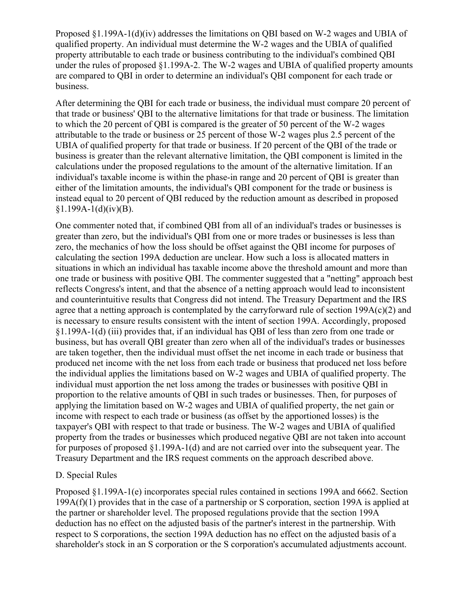Proposed §1.199A-1(d)(iv) addresses the limitations on QBI based on W-2 wages and UBIA of qualified property. An individual must determine the W-2 wages and the UBIA of qualified property attributable to each trade or business contributing to the individual's combined QBI under the rules of proposed §1.199A-2. The W-2 wages and UBIA of qualified property amounts are compared to QBI in order to determine an individual's QBI component for each trade or business.

After determining the QBI for each trade or business, the individual must compare 20 percent of that trade or business' QBI to the alternative limitations for that trade or business. The limitation to which the 20 percent of QBI is compared is the greater of 50 percent of the W-2 wages attributable to the trade or business or 25 percent of those W-2 wages plus 2.5 percent of the UBIA of qualified property for that trade or business. If 20 percent of the QBI of the trade or business is greater than the relevant alternative limitation, the QBI component is limited in the calculations under the proposed regulations to the amount of the alternative limitation. If an individual's taxable income is within the phase-in range and 20 percent of QBI is greater than either of the limitation amounts, the individual's QBI component for the trade or business is instead equal to 20 percent of QBI reduced by the reduction amount as described in proposed  $§1.199A-1(d)(iv)(B).$ 

One commenter noted that, if combined QBI from all of an individual's trades or businesses is greater than zero, but the individual's QBI from one or more trades or businesses is less than zero, the mechanics of how the loss should be offset against the QBI income for purposes of calculating the section 199A deduction are unclear. How such a loss is allocated matters in situations in which an individual has taxable income above the threshold amount and more than one trade or business with positive QBI. The commenter suggested that a "netting" approach best reflects Congress's intent, and that the absence of a netting approach would lead to inconsistent and counterintuitive results that Congress did not intend. The Treasury Department and the IRS agree that a netting approach is contemplated by the carryforward rule of section  $199A(c)(2)$  and is necessary to ensure results consistent with the intent of section 199A. Accordingly, proposed §1.199A-1(d) (iii) provides that, if an individual has QBI of less than zero from one trade or business, but has overall QBI greater than zero when all of the individual's trades or businesses are taken together, then the individual must offset the net income in each trade or business that produced net income with the net loss from each trade or business that produced net loss before the individual applies the limitations based on W-2 wages and UBIA of qualified property. The individual must apportion the net loss among the trades or businesses with positive QBI in proportion to the relative amounts of QBI in such trades or businesses. Then, for purposes of applying the limitation based on W-2 wages and UBIA of qualified property, the net gain or income with respect to each trade or business (as offset by the apportioned losses) is the taxpayer's QBI with respect to that trade or business. The W-2 wages and UBIA of qualified property from the trades or businesses which produced negative QBI are not taken into account for purposes of proposed §1.199A-1(d) and are not carried over into the subsequent year. The Treasury Department and the IRS request comments on the approach described above.

#### D. Special Rules

Proposed §1.199A-1(e) incorporates special rules contained in sections 199A and 6662. Section 199A(f)(1) provides that in the case of a partnership or S corporation, section 199A is applied at the partner or shareholder level. The proposed regulations provide that the section 199A deduction has no effect on the adjusted basis of the partner's interest in the partnership. With respect to S corporations, the section 199A deduction has no effect on the adjusted basis of a shareholder's stock in an S corporation or the S corporation's accumulated adjustments account.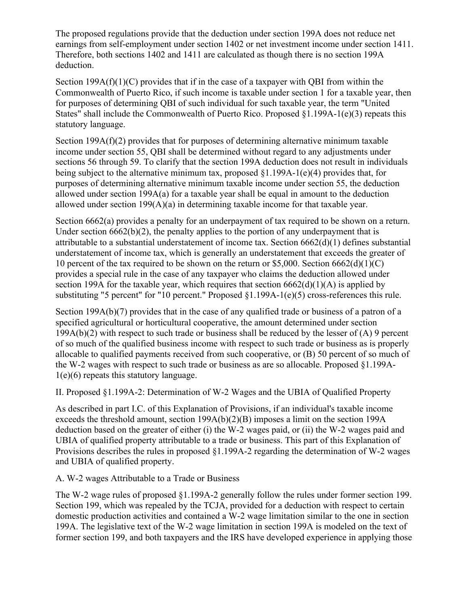The proposed regulations provide that the deduction under section 199A does not reduce net earnings from self-employment under section 1402 or net investment income under section 1411. Therefore, both sections 1402 and 1411 are calculated as though there is no section 199A deduction.

Section  $199A(f)(1)(C)$  provides that if in the case of a taxpayer with QBI from within the Commonwealth of Puerto Rico, if such income is taxable under section 1 for a taxable year, then for purposes of determining QBI of such individual for such taxable year, the term "United States" shall include the Commonwealth of Puerto Rico. Proposed §1.199A-1(e)(3) repeats this statutory language.

Section 199A(f)(2) provides that for purposes of determining alternative minimum taxable income under section 55, QBI shall be determined without regard to any adjustments under sections 56 through 59. To clarify that the section 199A deduction does not result in individuals being subject to the alternative minimum tax, proposed §1.199A-1(e)(4) provides that, for purposes of determining alternative minimum taxable income under section 55, the deduction allowed under section 199A(a) for a taxable year shall be equal in amount to the deduction allowed under section 199(A)(a) in determining taxable income for that taxable year.

Section 6662(a) provides a penalty for an underpayment of tax required to be shown on a return. Under section 6662(b)(2), the penalty applies to the portion of any underpayment that is attributable to a substantial understatement of income tax. Section 6662(d)(1) defines substantial understatement of income tax, which is generally an understatement that exceeds the greater of 10 percent of the tax required to be shown on the return or \$5,000. Section  $6662(d)(1)(C)$ provides a special rule in the case of any taxpayer who claims the deduction allowed under section 199A for the taxable year, which requires that section  $6662(d)(1)(A)$  is applied by substituting "5 percent" for "10 percent." Proposed §1.199A-1(e)(5) cross-references this rule.

Section 199A(b)(7) provides that in the case of any qualified trade or business of a patron of a specified agricultural or horticultural cooperative, the amount determined under section  $199A(b)(2)$  with respect to such trade or business shall be reduced by the lesser of  $(A)$  9 percent of so much of the qualified business income with respect to such trade or business as is properly allocable to qualified payments received from such cooperative, or (B) 50 percent of so much of the W-2 wages with respect to such trade or business as are so allocable. Proposed §1.199A-1(e)(6) repeats this statutory language.

II. Proposed §1.199A-2: Determination of W-2 Wages and the UBIA of Qualified Property

As described in part I.C. of this Explanation of Provisions, if an individual's taxable income exceeds the threshold amount, section 199A(b)(2)(B) imposes a limit on the section 199A deduction based on the greater of either (i) the W-2 wages paid, or (ii) the W-2 wages paid and UBIA of qualified property attributable to a trade or business. This part of this Explanation of Provisions describes the rules in proposed §1.199A-2 regarding the determination of W-2 wages and UBIA of qualified property.

A. W-2 wages Attributable to a Trade or Business

The W-2 wage rules of proposed §1.199A-2 generally follow the rules under former section 199. Section 199, which was repealed by the TCJA, provided for a deduction with respect to certain domestic production activities and contained a W-2 wage limitation similar to the one in section 199A. The legislative text of the W-2 wage limitation in section 199A is modeled on the text of former section 199, and both taxpayers and the IRS have developed experience in applying those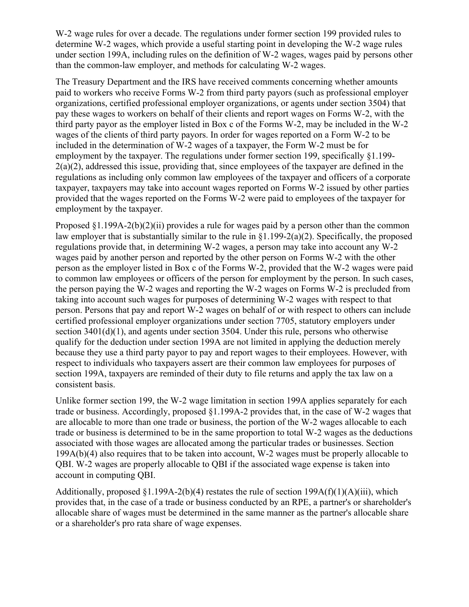W-2 wage rules for over a decade. The regulations under former section 199 provided rules to determine W-2 wages, which provide a useful starting point in developing the W-2 wage rules under section 199A, including rules on the definition of W-2 wages, wages paid by persons other than the common-law employer, and methods for calculating W-2 wages.

The Treasury Department and the IRS have received comments concerning whether amounts paid to workers who receive Forms W-2 from third party payors (such as professional employer organizations, certified professional employer organizations, or agents under section 3504) that pay these wages to workers on behalf of their clients and report wages on Forms W-2, with the third party payor as the employer listed in Box c of the Forms W-2, may be included in the W-2 wages of the clients of third party payors. In order for wages reported on a Form W-2 to be included in the determination of W-2 wages of a taxpayer, the Form W-2 must be for employment by the taxpayer. The regulations under former section 199, specifically §1.199-  $2(a)(2)$ , addressed this issue, providing that, since employees of the taxpayer are defined in the regulations as including only common law employees of the taxpayer and officers of a corporate taxpayer, taxpayers may take into account wages reported on Forms W-2 issued by other parties provided that the wages reported on the Forms W-2 were paid to employees of the taxpayer for employment by the taxpayer.

Proposed  $\S1.199A-2(b)(2)(ii)$  provides a rule for wages paid by a person other than the common law employer that is substantially similar to the rule in §1.199-2(a)(2). Specifically, the proposed regulations provide that, in determining W-2 wages, a person may take into account any W-2 wages paid by another person and reported by the other person on Forms W-2 with the other person as the employer listed in Box c of the Forms W-2, provided that the W-2 wages were paid to common law employees or officers of the person for employment by the person. In such cases, the person paying the W-2 wages and reporting the W-2 wages on Forms W-2 is precluded from taking into account such wages for purposes of determining W-2 wages with respect to that person. Persons that pay and report W-2 wages on behalf of or with respect to others can include certified professional employer organizations under section 7705, statutory employers under section  $3401(d)(1)$ , and agents under section  $3504$ . Under this rule, persons who otherwise qualify for the deduction under section 199A are not limited in applying the deduction merely because they use a third party payor to pay and report wages to their employees. However, with respect to individuals who taxpayers assert are their common law employees for purposes of section 199A, taxpayers are reminded of their duty to file returns and apply the tax law on a consistent basis.

Unlike former section 199, the W-2 wage limitation in section 199A applies separately for each trade or business. Accordingly, proposed  $\S1.199A-2$  provides that, in the case of W-2 wages that are allocable to more than one trade or business, the portion of the W-2 wages allocable to each trade or business is determined to be in the same proportion to total W-2 wages as the deductions associated with those wages are allocated among the particular trades or businesses. Section 199A(b)(4) also requires that to be taken into account, W-2 wages must be properly allocable to QBI. W-2 wages are properly allocable to QBI if the associated wage expense is taken into account in computing QBI.

Additionally, proposed  $\S1.199A-2(b)(4)$  restates the rule of section  $199A(f)(1)(A)(iii)$ , which provides that, in the case of a trade or business conducted by an RPE, a partner's or shareholder's allocable share of wages must be determined in the same manner as the partner's allocable share or a shareholder's pro rata share of wage expenses.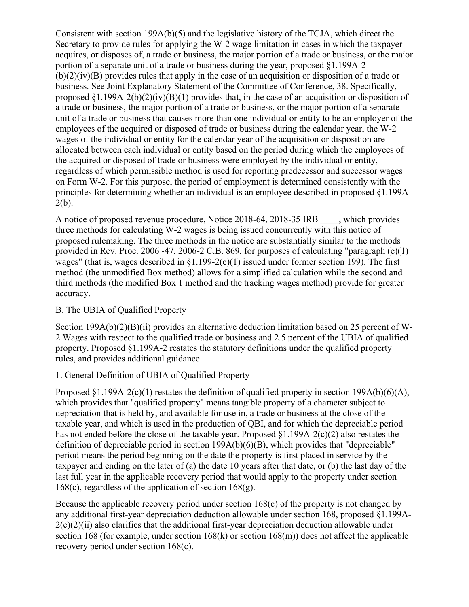Consistent with section 199A(b)(5) and the legislative history of the TCJA, which direct the Secretary to provide rules for applying the W-2 wage limitation in cases in which the taxpayer acquires, or disposes of, a trade or business, the major portion of a trade or business, or the major portion of a separate unit of a trade or business during the year, proposed §1.199A-2 (b)(2)(iv)(B) provides rules that apply in the case of an acquisition or disposition of a trade or business. See Joint Explanatory Statement of the Committee of Conference, 38. Specifically, proposed §1.199A-2(b)(2)(iv)(B)(1) provides that, in the case of an acquisition or disposition of a trade or business, the major portion of a trade or business, or the major portion of a separate unit of a trade or business that causes more than one individual or entity to be an employer of the employees of the acquired or disposed of trade or business during the calendar year, the W-2 wages of the individual or entity for the calendar year of the acquisition or disposition are allocated between each individual or entity based on the period during which the employees of the acquired or disposed of trade or business were employed by the individual or entity, regardless of which permissible method is used for reporting predecessor and successor wages on Form W-2. For this purpose, the period of employment is determined consistently with the principles for determining whether an individual is an employee described in proposed §1.199A- $2(b)$ .

A notice of proposed revenue procedure, Notice 2018-64, 2018-35 IRB which provides three methods for calculating W-2 wages is being issued concurrently with this notice of proposed rulemaking. The three methods in the notice are substantially similar to the methods provided in Rev. Proc. 2006 -47, 2006-2 C.B. 869, for purposes of calculating "paragraph (e)(1) wages" (that is, wages described in §1.199-2(e)(1) issued under former section 199). The first method (the unmodified Box method) allows for a simplified calculation while the second and third methods (the modified Box 1 method and the tracking wages method) provide for greater accuracy.

# B. The UBIA of Qualified Property

Section 199A(b)(2)(B)(ii) provides an alternative deduction limitation based on 25 percent of W-2 Wages with respect to the qualified trade or business and 2.5 percent of the UBIA of qualified property. Proposed §1.199A-2 restates the statutory definitions under the qualified property rules, and provides additional guidance.

# 1. General Definition of UBIA of Qualified Property

Proposed  $\{1.199A-2(c)(1)$  restates the definition of qualified property in section 199A(b)(6)(A), which provides that "qualified property" means tangible property of a character subject to depreciation that is held by, and available for use in, a trade or business at the close of the taxable year, and which is used in the production of QBI, and for which the depreciable period has not ended before the close of the taxable year. Proposed §1.199A-2(c)(2) also restates the definition of depreciable period in section 199A(b)(6)(B), which provides that "depreciable" period means the period beginning on the date the property is first placed in service by the taxpayer and ending on the later of (a) the date 10 years after that date, or (b) the last day of the last full year in the applicable recovery period that would apply to the property under section  $168(c)$ , regardless of the application of section  $168(g)$ .

Because the applicable recovery period under section 168(c) of the property is not changed by any additional first-year depreciation deduction allowable under section 168, proposed §1.199A- $2(c)(2)(ii)$  also clarifies that the additional first-year depreciation deduction allowable under section 168 (for example, under section 168(k) or section 168(m)) does not affect the applicable recovery period under section 168(c).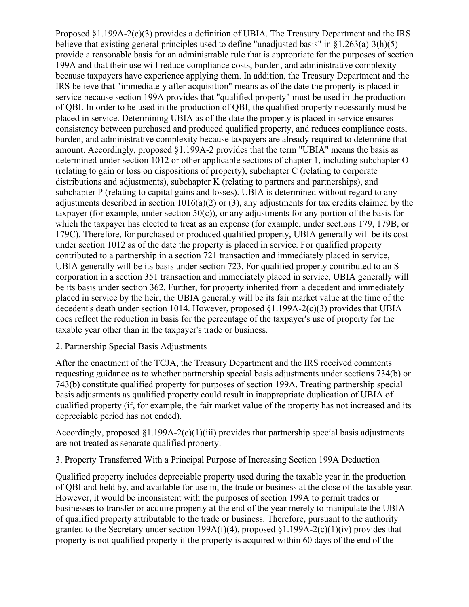Proposed §1.199A-2(c)(3) provides a definition of UBIA. The Treasury Department and the IRS believe that existing general principles used to define "unadjusted basis" in  $\S1.263(a)-3(h)(5)$ provide a reasonable basis for an administrable rule that is appropriate for the purposes of section 199A and that their use will reduce compliance costs, burden, and administrative complexity because taxpayers have experience applying them. In addition, the Treasury Department and the IRS believe that "immediately after acquisition" means as of the date the property is placed in service because section 199A provides that "qualified property" must be used in the production of QBI. In order to be used in the production of QBI, the qualified property necessarily must be placed in service. Determining UBIA as of the date the property is placed in service ensures consistency between purchased and produced qualified property, and reduces compliance costs, burden, and administrative complexity because taxpayers are already required to determine that amount. Accordingly, proposed §1.199A-2 provides that the term "UBIA" means the basis as determined under section 1012 or other applicable sections of chapter 1, including subchapter O (relating to gain or loss on dispositions of property), subchapter C (relating to corporate distributions and adjustments), subchapter K (relating to partners and partnerships), and subchapter P (relating to capital gains and losses). UBIA is determined without regard to any adjustments described in section  $1016(a)(2)$  or (3), any adjustments for tax credits claimed by the taxpayer (for example, under section  $50(c)$ ), or any adjustments for any portion of the basis for which the taxpayer has elected to treat as an expense (for example, under sections 179, 179B, or 179C). Therefore, for purchased or produced qualified property, UBIA generally will be its cost under section 1012 as of the date the property is placed in service. For qualified property contributed to a partnership in a section 721 transaction and immediately placed in service, UBIA generally will be its basis under section 723. For qualified property contributed to an S corporation in a section 351 transaction and immediately placed in service, UBIA generally will be its basis under section 362. Further, for property inherited from a decedent and immediately placed in service by the heir, the UBIA generally will be its fair market value at the time of the decedent's death under section 1014. However, proposed §1.199A-2(c)(3) provides that UBIA does reflect the reduction in basis for the percentage of the taxpayer's use of property for the taxable year other than in the taxpayer's trade or business.

#### 2. Partnership Special Basis Adjustments

After the enactment of the TCJA, the Treasury Department and the IRS received comments requesting guidance as to whether partnership special basis adjustments under sections 734(b) or 743(b) constitute qualified property for purposes of section 199A. Treating partnership special basis adjustments as qualified property could result in inappropriate duplication of UBIA of qualified property (if, for example, the fair market value of the property has not increased and its depreciable period has not ended).

Accordingly, proposed  $\S1.199A-2(c)(1)(iii)$  provides that partnership special basis adjustments are not treated as separate qualified property.

3. Property Transferred With a Principal Purpose of Increasing Section 199A Deduction

Qualified property includes depreciable property used during the taxable year in the production of QBI and held by, and available for use in, the trade or business at the close of the taxable year. However, it would be inconsistent with the purposes of section 199A to permit trades or businesses to transfer or acquire property at the end of the year merely to manipulate the UBIA of qualified property attributable to the trade or business. Therefore, pursuant to the authority granted to the Secretary under section 199A(f)(4), proposed  $\S1.199A-2(c)(1)(iv)$  provides that property is not qualified property if the property is acquired within 60 days of the end of the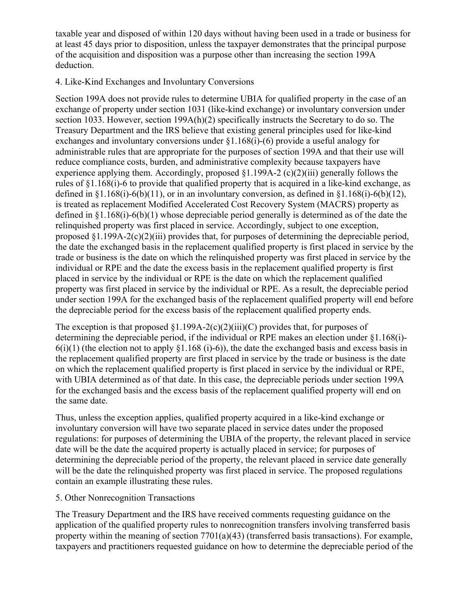taxable year and disposed of within 120 days without having been used in a trade or business for at least 45 days prior to disposition, unless the taxpayer demonstrates that the principal purpose of the acquisition and disposition was a purpose other than increasing the section 199A deduction.

#### 4. Like-Kind Exchanges and Involuntary Conversions

Section 199A does not provide rules to determine UBIA for qualified property in the case of an exchange of property under section 1031 (like-kind exchange) or involuntary conversion under section 1033. However, section 199A(h)(2) specifically instructs the Secretary to do so. The Treasury Department and the IRS believe that existing general principles used for like-kind exchanges and involuntary conversions under §1.168(i)-(6) provide a useful analogy for administrable rules that are appropriate for the purposes of section 199A and that their use will reduce compliance costs, burden, and administrative complexity because taxpayers have experience applying them. Accordingly, proposed §1.199A-2 (c)(2)(iii) generally follows the rules of §1.168(i)-6 to provide that qualified property that is acquired in a like-kind exchange, as defined in §1.168(i)-6(b)(11), or in an involuntary conversion, as defined in §1.168(i)-6(b)(12), is treated as replacement Modified Accelerated Cost Recovery System (MACRS) property as defined in §1.168(i)-6(b)(1) whose depreciable period generally is determined as of the date the relinquished property was first placed in service. Accordingly, subject to one exception, proposed §1.199A-2(c)(2)(iii) provides that, for purposes of determining the depreciable period, the date the exchanged basis in the replacement qualified property is first placed in service by the trade or business is the date on which the relinquished property was first placed in service by the individual or RPE and the date the excess basis in the replacement qualified property is first placed in service by the individual or RPE is the date on which the replacement qualified property was first placed in service by the individual or RPE. As a result, the depreciable period under section 199A for the exchanged basis of the replacement qualified property will end before the depreciable period for the excess basis of the replacement qualified property ends.

The exception is that proposed  $\S1.199A-2(c)(2)(iii)(C)$  provides that, for purposes of determining the depreciable period, if the individual or RPE makes an election under §1.168(i)-  $6(i)(1)$  (the election not to apply  $$1.168$  (i)-6)), the date the exchanged basis and excess basis in the replacement qualified property are first placed in service by the trade or business is the date on which the replacement qualified property is first placed in service by the individual or RPE, with UBIA determined as of that date. In this case, the depreciable periods under section 199A for the exchanged basis and the excess basis of the replacement qualified property will end on the same date.

Thus, unless the exception applies, qualified property acquired in a like-kind exchange or involuntary conversion will have two separate placed in service dates under the proposed regulations: for purposes of determining the UBIA of the property, the relevant placed in service date will be the date the acquired property is actually placed in service; for purposes of determining the depreciable period of the property, the relevant placed in service date generally will be the date the relinquished property was first placed in service. The proposed regulations contain an example illustrating these rules.

# 5. Other Nonrecognition Transactions

The Treasury Department and the IRS have received comments requesting guidance on the application of the qualified property rules to nonrecognition transfers involving transferred basis property within the meaning of section 7701(a)(43) (transferred basis transactions). For example, taxpayers and practitioners requested guidance on how to determine the depreciable period of the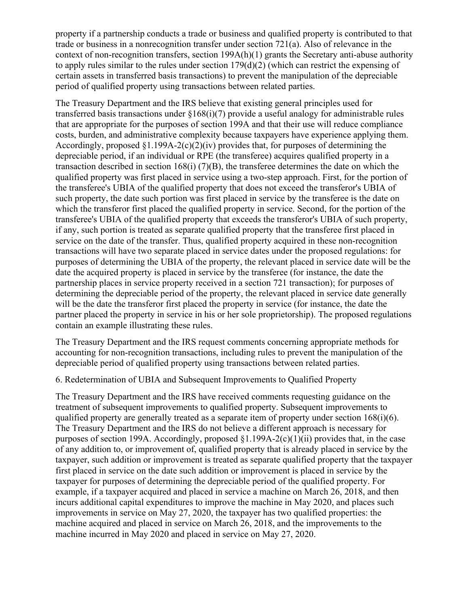property if a partnership conducts a trade or business and qualified property is contributed to that trade or business in a nonrecognition transfer under section 721(a). Also of relevance in the context of non-recognition transfers, section 199A(h)(1) grants the Secretary anti-abuse authority to apply rules similar to the rules under section 179(d)(2) (which can restrict the expensing of certain assets in transferred basis transactions) to prevent the manipulation of the depreciable period of qualified property using transactions between related parties.

The Treasury Department and the IRS believe that existing general principles used for transferred basis transactions under §168(i)(7) provide a useful analogy for administrable rules that are appropriate for the purposes of section 199A and that their use will reduce compliance costs, burden, and administrative complexity because taxpayers have experience applying them. Accordingly, proposed  $\S1.199A-2(c)(2)(iv)$  provides that, for purposes of determining the depreciable period, if an individual or RPE (the transferee) acquires qualified property in a transaction described in section  $168(i)$  (7)(B), the transferee determines the date on which the qualified property was first placed in service using a two-step approach. First, for the portion of the transferee's UBIA of the qualified property that does not exceed the transferor's UBIA of such property, the date such portion was first placed in service by the transferee is the date on which the transferor first placed the qualified property in service. Second, for the portion of the transferee's UBIA of the qualified property that exceeds the transferor's UBIA of such property, if any, such portion is treated as separate qualified property that the transferee first placed in service on the date of the transfer. Thus, qualified property acquired in these non-recognition transactions will have two separate placed in service dates under the proposed regulations: for purposes of determining the UBIA of the property, the relevant placed in service date will be the date the acquired property is placed in service by the transferee (for instance, the date the partnership places in service property received in a section 721 transaction); for purposes of determining the depreciable period of the property, the relevant placed in service date generally will be the date the transferor first placed the property in service (for instance, the date the partner placed the property in service in his or her sole proprietorship). The proposed regulations contain an example illustrating these rules.

The Treasury Department and the IRS request comments concerning appropriate methods for accounting for non-recognition transactions, including rules to prevent the manipulation of the depreciable period of qualified property using transactions between related parties.

# 6. Redetermination of UBIA and Subsequent Improvements to Qualified Property

The Treasury Department and the IRS have received comments requesting guidance on the treatment of subsequent improvements to qualified property. Subsequent improvements to qualified property are generally treated as a separate item of property under section 168(i)(6). The Treasury Department and the IRS do not believe a different approach is necessary for purposes of section 199A. Accordingly, proposed §1.199A-2(c)(1)(ii) provides that, in the case of any addition to, or improvement of, qualified property that is already placed in service by the taxpayer, such addition or improvement is treated as separate qualified property that the taxpayer first placed in service on the date such addition or improvement is placed in service by the taxpayer for purposes of determining the depreciable period of the qualified property. For example, if a taxpayer acquired and placed in service a machine on March 26, 2018, and then incurs additional capital expenditures to improve the machine in May 2020, and places such improvements in service on May 27, 2020, the taxpayer has two qualified properties: the machine acquired and placed in service on March 26, 2018, and the improvements to the machine incurred in May 2020 and placed in service on May 27, 2020.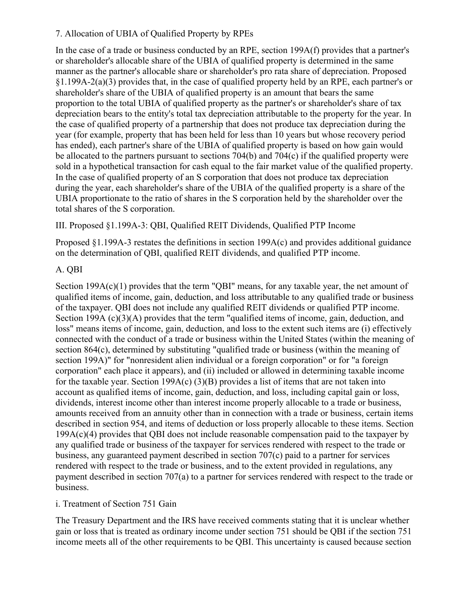# 7. Allocation of UBIA of Qualified Property by RPEs

In the case of a trade or business conducted by an RPE, section 199A(f) provides that a partner's or shareholder's allocable share of the UBIA of qualified property is determined in the same manner as the partner's allocable share or shareholder's pro rata share of depreciation. Proposed §1.199A-2(a)(3) provides that, in the case of qualified property held by an RPE, each partner's or shareholder's share of the UBIA of qualified property is an amount that bears the same proportion to the total UBIA of qualified property as the partner's or shareholder's share of tax depreciation bears to the entity's total tax depreciation attributable to the property for the year. In the case of qualified property of a partnership that does not produce tax depreciation during the year (for example, property that has been held for less than 10 years but whose recovery period has ended), each partner's share of the UBIA of qualified property is based on how gain would be allocated to the partners pursuant to sections 704(b) and 704(c) if the qualified property were sold in a hypothetical transaction for cash equal to the fair market value of the qualified property. In the case of qualified property of an S corporation that does not produce tax depreciation during the year, each shareholder's share of the UBIA of the qualified property is a share of the UBIA proportionate to the ratio of shares in the S corporation held by the shareholder over the total shares of the S corporation.

III. Proposed §1.199A-3: QBI, Qualified REIT Dividends, Qualified PTP Income

Proposed §1.199A-3 restates the definitions in section 199A(c) and provides additional guidance on the determination of QBI, qualified REIT dividends, and qualified PTP income.

# A. QBI

Section 199A(c)(1) provides that the term "QBI" means, for any taxable year, the net amount of qualified items of income, gain, deduction, and loss attributable to any qualified trade or business of the taxpayer. QBI does not include any qualified REIT dividends or qualified PTP income. Section 199A (c)(3)(A) provides that the term "qualified items of income, gain, deduction, and loss" means items of income, gain, deduction, and loss to the extent such items are (i) effectively connected with the conduct of a trade or business within the United States (within the meaning of section 864(c), determined by substituting "qualified trade or business (within the meaning of section 199A)" for "nonresident alien individual or a foreign corporation" or for "a foreign corporation" each place it appears), and (ii) included or allowed in determining taxable income for the taxable year. Section 199A(c)  $(3)(B)$  provides a list of items that are not taken into account as qualified items of income, gain, deduction, and loss, including capital gain or loss, dividends, interest income other than interest income properly allocable to a trade or business, amounts received from an annuity other than in connection with a trade or business, certain items described in section 954, and items of deduction or loss properly allocable to these items. Section 199A(c)(4) provides that QBI does not include reasonable compensation paid to the taxpayer by any qualified trade or business of the taxpayer for services rendered with respect to the trade or business, any guaranteed payment described in section 707(c) paid to a partner for services rendered with respect to the trade or business, and to the extent provided in regulations, any payment described in section 707(a) to a partner for services rendered with respect to the trade or business.

# i. Treatment of Section 751 Gain

The Treasury Department and the IRS have received comments stating that it is unclear whether gain or loss that is treated as ordinary income under section 751 should be QBI if the section 751 income meets all of the other requirements to be QBI. This uncertainty is caused because section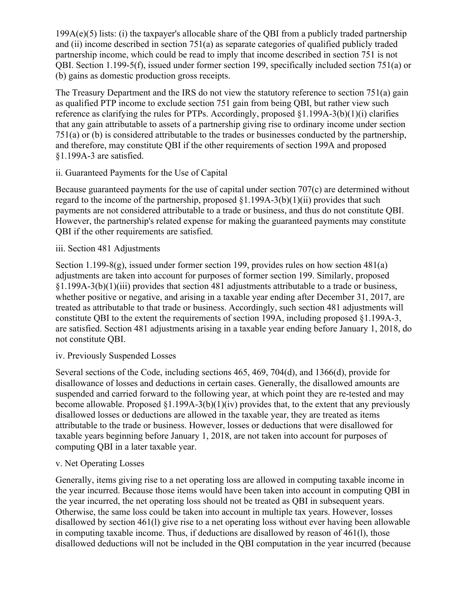$199A(e)(5)$  lists: (i) the taxpayer's allocable share of the QBI from a publicly traded partnership and (ii) income described in section 751(a) as separate categories of qualified publicly traded partnership income, which could be read to imply that income described in section 751 is not QBI. Section 1.199-5(f), issued under former section 199, specifically included section 751(a) or (b) gains as domestic production gross receipts.

The Treasury Department and the IRS do not view the statutory reference to section 751(a) gain as qualified PTP income to exclude section 751 gain from being QBI, but rather view such reference as clarifying the rules for PTPs. Accordingly, proposed §1.199A-3(b)(1)(i) clarifies that any gain attributable to assets of a partnership giving rise to ordinary income under section 751(a) or (b) is considered attributable to the trades or businesses conducted by the partnership, and therefore, may constitute QBI if the other requirements of section 199A and proposed §1.199A-3 are satisfied.

# ii. Guaranteed Payments for the Use of Capital

Because guaranteed payments for the use of capital under section 707(c) are determined without regard to the income of the partnership, proposed  $\S1.199A-3(b)(1)(ii)$  provides that such payments are not considered attributable to a trade or business, and thus do not constitute QBI. However, the partnership's related expense for making the guaranteed payments may constitute QBI if the other requirements are satisfied.

# iii. Section 481 Adjustments

Section 1.199-8(g), issued under former section 199, provides rules on how section 481(a) adjustments are taken into account for purposes of former section 199. Similarly, proposed §1.199A-3(b)(1)(iii) provides that section 481 adjustments attributable to a trade or business, whether positive or negative, and arising in a taxable year ending after December 31, 2017, are treated as attributable to that trade or business. Accordingly, such section 481 adjustments will constitute QBI to the extent the requirements of section 199A, including proposed §1.199A-3, are satisfied. Section 481 adjustments arising in a taxable year ending before January 1, 2018, do not constitute QBI.

# iv. Previously Suspended Losses

Several sections of the Code, including sections 465, 469, 704(d), and 1366(d), provide for disallowance of losses and deductions in certain cases. Generally, the disallowed amounts are suspended and carried forward to the following year, at which point they are re-tested and may become allowable. Proposed  $\S1.199A-3(b)(1)(iv)$  provides that, to the extent that any previously disallowed losses or deductions are allowed in the taxable year, they are treated as items attributable to the trade or business. However, losses or deductions that were disallowed for taxable years beginning before January 1, 2018, are not taken into account for purposes of computing QBI in a later taxable year.

# v. Net Operating Losses

Generally, items giving rise to a net operating loss are allowed in computing taxable income in the year incurred. Because those items would have been taken into account in computing QBI in the year incurred, the net operating loss should not be treated as QBI in subsequent years. Otherwise, the same loss could be taken into account in multiple tax years. However, losses disallowed by section 461(l) give rise to a net operating loss without ever having been allowable in computing taxable income. Thus, if deductions are disallowed by reason of 461(l), those disallowed deductions will not be included in the QBI computation in the year incurred (because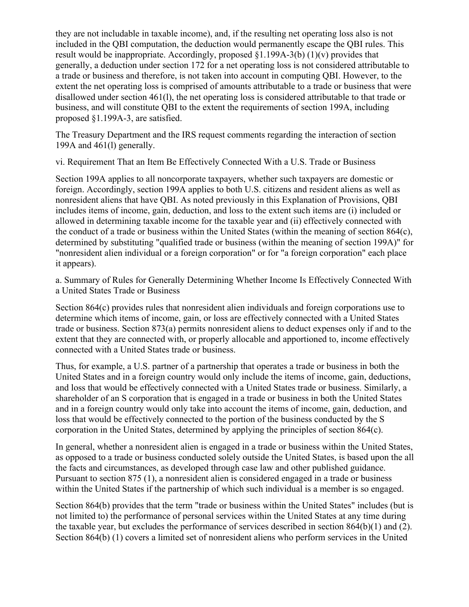they are not includable in taxable income), and, if the resulting net operating loss also is not included in the QBI computation, the deduction would permanently escape the QBI rules. This result would be inappropriate. Accordingly, proposed  $(1.199A-3(b) (1)(v)$  provides that generally, a deduction under section 172 for a net operating loss is not considered attributable to a trade or business and therefore, is not taken into account in computing QBI. However, to the extent the net operating loss is comprised of amounts attributable to a trade or business that were disallowed under section 461(l), the net operating loss is considered attributable to that trade or business, and will constitute QBI to the extent the requirements of section 199A, including proposed §1.199A-3, are satisfied.

The Treasury Department and the IRS request comments regarding the interaction of section 199A and 461(l) generally.

vi. Requirement That an Item Be Effectively Connected With a U.S. Trade or Business

Section 199A applies to all noncorporate taxpayers, whether such taxpayers are domestic or foreign. Accordingly, section 199A applies to both U.S. citizens and resident aliens as well as nonresident aliens that have QBI. As noted previously in this Explanation of Provisions, QBI includes items of income, gain, deduction, and loss to the extent such items are (i) included or allowed in determining taxable income for the taxable year and (ii) effectively connected with the conduct of a trade or business within the United States (within the meaning of section 864(c), determined by substituting "qualified trade or business (within the meaning of section 199A)" for "nonresident alien individual or a foreign corporation" or for "a foreign corporation" each place it appears).

a. Summary of Rules for Generally Determining Whether Income Is Effectively Connected With a United States Trade or Business

Section 864(c) provides rules that nonresident alien individuals and foreign corporations use to determine which items of income, gain, or loss are effectively connected with a United States trade or business. Section 873(a) permits nonresident aliens to deduct expenses only if and to the extent that they are connected with, or properly allocable and apportioned to, income effectively connected with a United States trade or business.

Thus, for example, a U.S. partner of a partnership that operates a trade or business in both the United States and in a foreign country would only include the items of income, gain, deductions, and loss that would be effectively connected with a United States trade or business. Similarly, a shareholder of an S corporation that is engaged in a trade or business in both the United States and in a foreign country would only take into account the items of income, gain, deduction, and loss that would be effectively connected to the portion of the business conducted by the S corporation in the United States, determined by applying the principles of section 864(c).

In general, whether a nonresident alien is engaged in a trade or business within the United States, as opposed to a trade or business conducted solely outside the United States, is based upon the all the facts and circumstances, as developed through case law and other published guidance. Pursuant to section 875 (1), a nonresident alien is considered engaged in a trade or business within the United States if the partnership of which such individual is a member is so engaged.

Section 864(b) provides that the term "trade or business within the United States" includes (but is not limited to) the performance of personal services within the United States at any time during the taxable year, but excludes the performance of services described in section 864(b)(1) and (2). Section 864(b) (1) covers a limited set of nonresident aliens who perform services in the United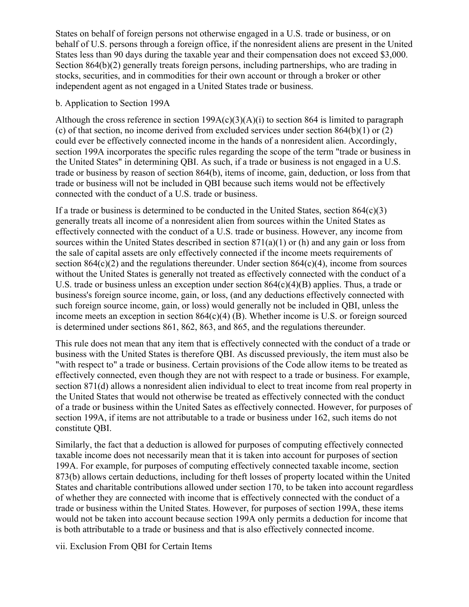States on behalf of foreign persons not otherwise engaged in a U.S. trade or business, or on behalf of U.S. persons through a foreign office, if the nonresident aliens are present in the United States less than 90 days during the taxable year and their compensation does not exceed \$3,000. Section 864(b)(2) generally treats foreign persons, including partnerships, who are trading in stocks, securities, and in commodities for their own account or through a broker or other independent agent as not engaged in a United States trade or business.

#### b. Application to Section 199A

Although the cross reference in section  $199A(c)(3)(A)(i)$  to section 864 is limited to paragraph (c) of that section, no income derived from excluded services under section 864(b)(1) or (2) could ever be effectively connected income in the hands of a nonresident alien. Accordingly, section 199A incorporates the specific rules regarding the scope of the term "trade or business in the United States" in determining QBI. As such, if a trade or business is not engaged in a U.S. trade or business by reason of section 864(b), items of income, gain, deduction, or loss from that trade or business will not be included in QBI because such items would not be effectively connected with the conduct of a U.S. trade or business.

If a trade or business is determined to be conducted in the United States, section  $864(c)(3)$ generally treats all income of a nonresident alien from sources within the United States as effectively connected with the conduct of a U.S. trade or business. However, any income from sources within the United States described in section  $871(a)(1)$  or (h) and any gain or loss from the sale of capital assets are only effectively connected if the income meets requirements of section  $864(c)(2)$  and the regulations thereunder. Under section  $864(c)(4)$ , income from sources without the United States is generally not treated as effectively connected with the conduct of a U.S. trade or business unless an exception under section 864(c)(4)(B) applies. Thus, a trade or business's foreign source income, gain, or loss, (and any deductions effectively connected with such foreign source income, gain, or loss) would generally not be included in QBI, unless the income meets an exception in section 864(c)(4) (B). Whether income is U.S. or foreign sourced is determined under sections 861, 862, 863, and 865, and the regulations thereunder.

This rule does not mean that any item that is effectively connected with the conduct of a trade or business with the United States is therefore QBI. As discussed previously, the item must also be "with respect to" a trade or business. Certain provisions of the Code allow items to be treated as effectively connected, even though they are not with respect to a trade or business. For example, section 871(d) allows a nonresident alien individual to elect to treat income from real property in the United States that would not otherwise be treated as effectively connected with the conduct of a trade or business within the United Sates as effectively connected. However, for purposes of section 199A, if items are not attributable to a trade or business under 162, such items do not constitute QBI.

Similarly, the fact that a deduction is allowed for purposes of computing effectively connected taxable income does not necessarily mean that it is taken into account for purposes of section 199A. For example, for purposes of computing effectively connected taxable income, section 873(b) allows certain deductions, including for theft losses of property located within the United States and charitable contributions allowed under section 170, to be taken into account regardless of whether they are connected with income that is effectively connected with the conduct of a trade or business within the United States. However, for purposes of section 199A, these items would not be taken into account because section 199A only permits a deduction for income that is both attributable to a trade or business and that is also effectively connected income.

vii. Exclusion From QBI for Certain Items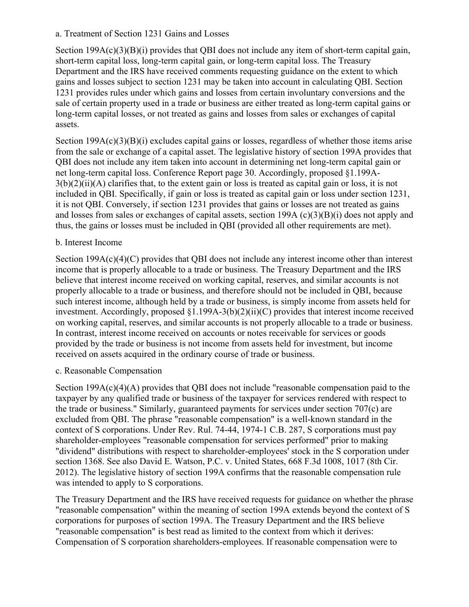#### a. Treatment of Section 1231 Gains and Losses

Section 199A(c)(3)(B)(i) provides that QBI does not include any item of short-term capital gain, short-term capital loss, long-term capital gain, or long-term capital loss. The Treasury Department and the IRS have received comments requesting guidance on the extent to which gains and losses subject to section 1231 may be taken into account in calculating QBI. Section 1231 provides rules under which gains and losses from certain involuntary conversions and the sale of certain property used in a trade or business are either treated as long-term capital gains or long-term capital losses, or not treated as gains and losses from sales or exchanges of capital assets.

Section 199A(c)(3)(B)(i) excludes capital gains or losses, regardless of whether those items arise from the sale or exchange of a capital asset. The legislative history of section 199A provides that QBI does not include any item taken into account in determining net long-term capital gain or net long-term capital loss. Conference Report page 30. Accordingly, proposed §1.199A- $3(b)(2)(ii)(A)$  clarifies that, to the extent gain or loss is treated as capital gain or loss, it is not included in QBI. Specifically, if gain or loss is treated as capital gain or loss under section 1231, it is not QBI. Conversely, if section 1231 provides that gains or losses are not treated as gains and losses from sales or exchanges of capital assets, section 199A (c)(3)(B)(i) does not apply and thus, the gains or losses must be included in QBI (provided all other requirements are met).

#### b. Interest Income

Section 199A(c)(4)(C) provides that QBI does not include any interest income other than interest income that is properly allocable to a trade or business. The Treasury Department and the IRS believe that interest income received on working capital, reserves, and similar accounts is not properly allocable to a trade or business, and therefore should not be included in QBI, because such interest income, although held by a trade or business, is simply income from assets held for investment. Accordingly, proposed §1.199A-3(b)(2)(ii)(C) provides that interest income received on working capital, reserves, and similar accounts is not properly allocable to a trade or business. In contrast, interest income received on accounts or notes receivable for services or goods provided by the trade or business is not income from assets held for investment, but income received on assets acquired in the ordinary course of trade or business.

#### c. Reasonable Compensation

Section 199A(c)(4)(A) provides that QBI does not include "reasonable compensation paid to the taxpayer by any qualified trade or business of the taxpayer for services rendered with respect to the trade or business." Similarly, guaranteed payments for services under section 707(c) are excluded from QBI. The phrase "reasonable compensation" is a well-known standard in the context of S corporations. Under Rev. Rul. 74-44, 1974-1 C.B. 287, S corporations must pay shareholder-employees "reasonable compensation for services performed" prior to making "dividend" distributions with respect to shareholder-employees' stock in the S corporation under section 1368. See also David E. Watson, P.C. v. United States, 668 F.3d 1008, 1017 (8th Cir. 2012). The legislative history of section 199A confirms that the reasonable compensation rule was intended to apply to S corporations.

The Treasury Department and the IRS have received requests for guidance on whether the phrase "reasonable compensation" within the meaning of section 199A extends beyond the context of S corporations for purposes of section 199A. The Treasury Department and the IRS believe "reasonable compensation" is best read as limited to the context from which it derives: Compensation of S corporation shareholders-employees. If reasonable compensation were to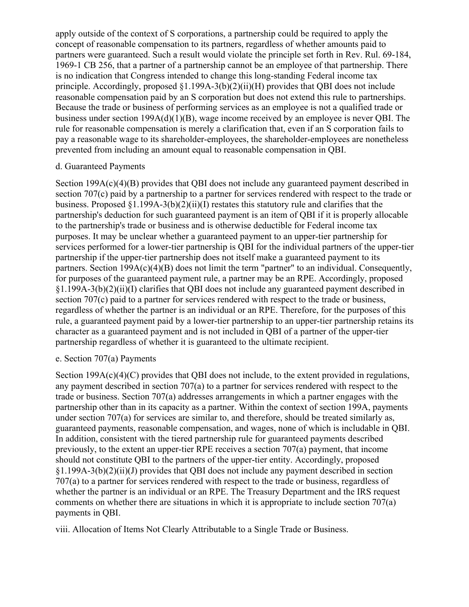apply outside of the context of S corporations, a partnership could be required to apply the concept of reasonable compensation to its partners, regardless of whether amounts paid to partners were guaranteed. Such a result would violate the principle set forth in Rev. Rul. 69-184, 1969-1 CB 256, that a partner of a partnership cannot be an employee of that partnership. There is no indication that Congress intended to change this long-standing Federal income tax principle. Accordingly, proposed  $(1.199A-3(b)(2)(ii)(H))$  provides that OBI does not include reasonable compensation paid by an S corporation but does not extend this rule to partnerships. Because the trade or business of performing services as an employee is not a qualified trade or business under section 199A(d)(1)(B), wage income received by an employee is never QBI. The rule for reasonable compensation is merely a clarification that, even if an S corporation fails to pay a reasonable wage to its shareholder-employees, the shareholder-employees are nonetheless prevented from including an amount equal to reasonable compensation in QBI.

#### d. Guaranteed Payments

Section 199A(c)(4)(B) provides that QBI does not include any guaranteed payment described in section 707(c) paid by a partnership to a partner for services rendered with respect to the trade or business. Proposed §1.199A-3(b)(2)(ii)(I) restates this statutory rule and clarifies that the partnership's deduction for such guaranteed payment is an item of QBI if it is properly allocable to the partnership's trade or business and is otherwise deductible for Federal income tax purposes. It may be unclear whether a guaranteed payment to an upper-tier partnership for services performed for a lower-tier partnership is QBI for the individual partners of the upper-tier partnership if the upper-tier partnership does not itself make a guaranteed payment to its partners. Section  $199A(c)(4)(B)$  does not limit the term "partner" to an individual. Consequently, for purposes of the guaranteed payment rule, a partner may be an RPE. Accordingly, proposed §1.199A-3(b)(2)(ii)(I) clarifies that QBI does not include any guaranteed payment described in section 707(c) paid to a partner for services rendered with respect to the trade or business, regardless of whether the partner is an individual or an RPE. Therefore, for the purposes of this rule, a guaranteed payment paid by a lower-tier partnership to an upper-tier partnership retains its character as a guaranteed payment and is not included in QBI of a partner of the upper-tier partnership regardless of whether it is guaranteed to the ultimate recipient.

#### e. Section 707(a) Payments

Section 199A(c)(4)(C) provides that QBI does not include, to the extent provided in regulations, any payment described in section 707(a) to a partner for services rendered with respect to the trade or business. Section 707(a) addresses arrangements in which a partner engages with the partnership other than in its capacity as a partner. Within the context of section 199A, payments under section 707(a) for services are similar to, and therefore, should be treated similarly as, guaranteed payments, reasonable compensation, and wages, none of which is includable in QBI. In addition, consistent with the tiered partnership rule for guaranteed payments described previously, to the extent an upper-tier RPE receives a section 707(a) payment, that income should not constitute QBI to the partners of the upper-tier entity. Accordingly, proposed §1.199A-3(b)(2)(ii)(J) provides that QBI does not include any payment described in section 707(a) to a partner for services rendered with respect to the trade or business, regardless of whether the partner is an individual or an RPE. The Treasury Department and the IRS request comments on whether there are situations in which it is appropriate to include section 707(a) payments in QBI.

viii. Allocation of Items Not Clearly Attributable to a Single Trade or Business.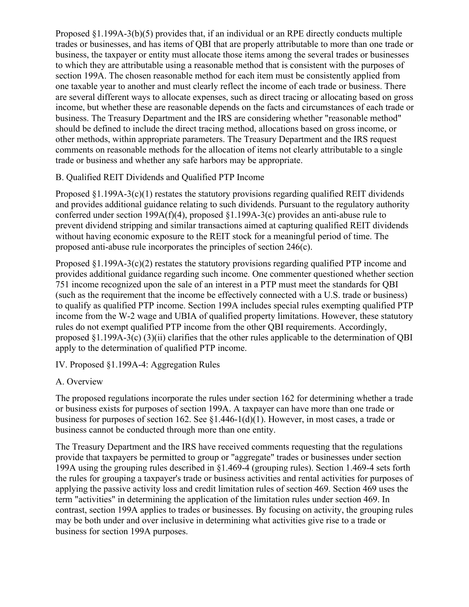Proposed §1.199A-3(b)(5) provides that, if an individual or an RPE directly conducts multiple trades or businesses, and has items of QBI that are properly attributable to more than one trade or business, the taxpayer or entity must allocate those items among the several trades or businesses to which they are attributable using a reasonable method that is consistent with the purposes of section 199A. The chosen reasonable method for each item must be consistently applied from one taxable year to another and must clearly reflect the income of each trade or business. There are several different ways to allocate expenses, such as direct tracing or allocating based on gross income, but whether these are reasonable depends on the facts and circumstances of each trade or business. The Treasury Department and the IRS are considering whether "reasonable method" should be defined to include the direct tracing method, allocations based on gross income, or other methods, within appropriate parameters. The Treasury Department and the IRS request comments on reasonable methods for the allocation of items not clearly attributable to a single trade or business and whether any safe harbors may be appropriate.

# B. Qualified REIT Dividends and Qualified PTP Income

Proposed  $\S1.199A-3(c)(1)$  restates the statutory provisions regarding qualified REIT dividends and provides additional guidance relating to such dividends. Pursuant to the regulatory authority conferred under section 199A(f)(4), proposed §1.199A-3(c) provides an anti-abuse rule to prevent dividend stripping and similar transactions aimed at capturing qualified REIT dividends without having economic exposure to the REIT stock for a meaningful period of time. The proposed anti-abuse rule incorporates the principles of section 246(c).

Proposed §1.199A-3(c)(2) restates the statutory provisions regarding qualified PTP income and provides additional guidance regarding such income. One commenter questioned whether section 751 income recognized upon the sale of an interest in a PTP must meet the standards for QBI (such as the requirement that the income be effectively connected with a U.S. trade or business) to qualify as qualified PTP income. Section 199A includes special rules exempting qualified PTP income from the W-2 wage and UBIA of qualified property limitations. However, these statutory rules do not exempt qualified PTP income from the other QBI requirements. Accordingly, proposed §1.199A-3(c) (3)(ii) clarifies that the other rules applicable to the determination of QBI apply to the determination of qualified PTP income.

IV. Proposed §1.199A-4: Aggregation Rules

# A. Overview

The proposed regulations incorporate the rules under section 162 for determining whether a trade or business exists for purposes of section 199A. A taxpayer can have more than one trade or business for purposes of section 162. See §1.446-1(d)(1). However, in most cases, a trade or business cannot be conducted through more than one entity.

The Treasury Department and the IRS have received comments requesting that the regulations provide that taxpayers be permitted to group or "aggregate" trades or businesses under section 199A using the grouping rules described in §1.469-4 (grouping rules). Section 1.469-4 sets forth the rules for grouping a taxpayer's trade or business activities and rental activities for purposes of applying the passive activity loss and credit limitation rules of section 469. Section 469 uses the term "activities" in determining the application of the limitation rules under section 469. In contrast, section 199A applies to trades or businesses. By focusing on activity, the grouping rules may be both under and over inclusive in determining what activities give rise to a trade or business for section 199A purposes.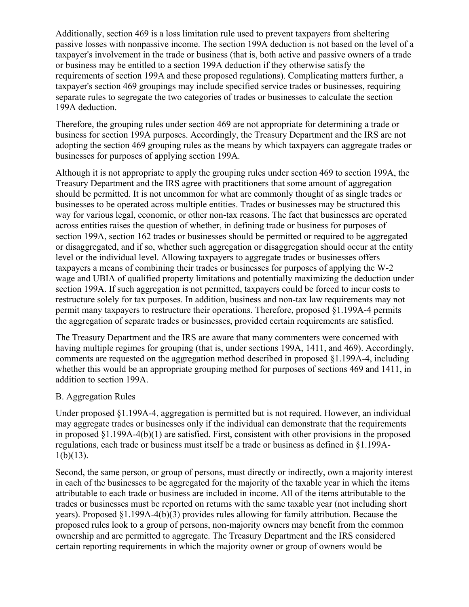Additionally, section 469 is a loss limitation rule used to prevent taxpayers from sheltering passive losses with nonpassive income. The section 199A deduction is not based on the level of a taxpayer's involvement in the trade or business (that is, both active and passive owners of a trade or business may be entitled to a section 199A deduction if they otherwise satisfy the requirements of section 199A and these proposed regulations). Complicating matters further, a taxpayer's section 469 groupings may include specified service trades or businesses, requiring separate rules to segregate the two categories of trades or businesses to calculate the section 199A deduction.

Therefore, the grouping rules under section 469 are not appropriate for determining a trade or business for section 199A purposes. Accordingly, the Treasury Department and the IRS are not adopting the section 469 grouping rules as the means by which taxpayers can aggregate trades or businesses for purposes of applying section 199A.

Although it is not appropriate to apply the grouping rules under section 469 to section 199A, the Treasury Department and the IRS agree with practitioners that some amount of aggregation should be permitted. It is not uncommon for what are commonly thought of as single trades or businesses to be operated across multiple entities. Trades or businesses may be structured this way for various legal, economic, or other non-tax reasons. The fact that businesses are operated across entities raises the question of whether, in defining trade or business for purposes of section 199A, section 162 trades or businesses should be permitted or required to be aggregated or disaggregated, and if so, whether such aggregation or disaggregation should occur at the entity level or the individual level. Allowing taxpayers to aggregate trades or businesses offers taxpayers a means of combining their trades or businesses for purposes of applying the W-2 wage and UBIA of qualified property limitations and potentially maximizing the deduction under section 199A. If such aggregation is not permitted, taxpayers could be forced to incur costs to restructure solely for tax purposes. In addition, business and non-tax law requirements may not permit many taxpayers to restructure their operations. Therefore, proposed §1.199A-4 permits the aggregation of separate trades or businesses, provided certain requirements are satisfied.

The Treasury Department and the IRS are aware that many commenters were concerned with having multiple regimes for grouping (that is, under sections 199A, 1411, and 469). Accordingly, comments are requested on the aggregation method described in proposed §1.199A-4, including whether this would be an appropriate grouping method for purposes of sections 469 and 1411, in addition to section 199A.

# B. Aggregation Rules

Under proposed §1.199A-4, aggregation is permitted but is not required. However, an individual may aggregate trades or businesses only if the individual can demonstrate that the requirements in proposed §1.199A-4(b)(1) are satisfied. First, consistent with other provisions in the proposed regulations, each trade or business must itself be a trade or business as defined in §1.199A- $1(b)(13)$ .

Second, the same person, or group of persons, must directly or indirectly, own a majority interest in each of the businesses to be aggregated for the majority of the taxable year in which the items attributable to each trade or business are included in income. All of the items attributable to the trades or businesses must be reported on returns with the same taxable year (not including short years). Proposed §1.199A-4(b)(3) provides rules allowing for family attribution. Because the proposed rules look to a group of persons, non-majority owners may benefit from the common ownership and are permitted to aggregate. The Treasury Department and the IRS considered certain reporting requirements in which the majority owner or group of owners would be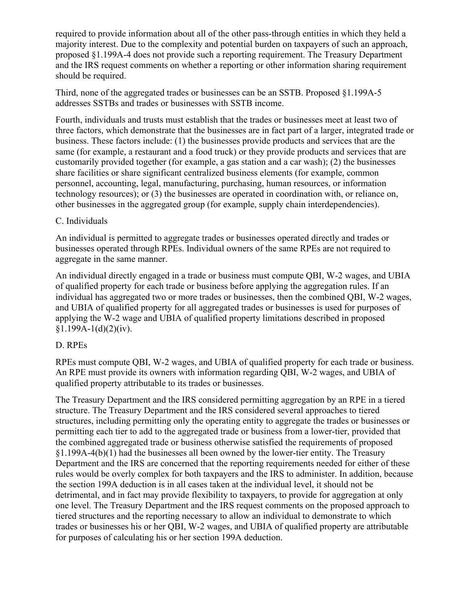required to provide information about all of the other pass-through entities in which they held a majority interest. Due to the complexity and potential burden on taxpayers of such an approach, proposed §1.199A-4 does not provide such a reporting requirement. The Treasury Department and the IRS request comments on whether a reporting or other information sharing requirement should be required.

Third, none of the aggregated trades or businesses can be an SSTB. Proposed §1.199A-5 addresses SSTBs and trades or businesses with SSTB income.

Fourth, individuals and trusts must establish that the trades or businesses meet at least two of three factors, which demonstrate that the businesses are in fact part of a larger, integrated trade or business. These factors include: (1) the businesses provide products and services that are the same (for example, a restaurant and a food truck) or they provide products and services that are customarily provided together (for example, a gas station and a car wash); (2) the businesses share facilities or share significant centralized business elements (for example, common personnel, accounting, legal, manufacturing, purchasing, human resources, or information technology resources); or (3) the businesses are operated in coordination with, or reliance on, other businesses in the aggregated group (for example, supply chain interdependencies).

# C. Individuals

An individual is permitted to aggregate trades or businesses operated directly and trades or businesses operated through RPEs. Individual owners of the same RPEs are not required to aggregate in the same manner.

An individual directly engaged in a trade or business must compute QBI, W-2 wages, and UBIA of qualified property for each trade or business before applying the aggregation rules. If an individual has aggregated two or more trades or businesses, then the combined QBI, W-2 wages, and UBIA of qualified property for all aggregated trades or businesses is used for purposes of applying the W-2 wage and UBIA of qualified property limitations described in proposed  $§1.199A-1(d)(2)(iv).$ 

# D. RPEs

RPEs must compute QBI, W-2 wages, and UBIA of qualified property for each trade or business. An RPE must provide its owners with information regarding QBI, W-2 wages, and UBIA of qualified property attributable to its trades or businesses.

The Treasury Department and the IRS considered permitting aggregation by an RPE in a tiered structure. The Treasury Department and the IRS considered several approaches to tiered structures, including permitting only the operating entity to aggregate the trades or businesses or permitting each tier to add to the aggregated trade or business from a lower-tier, provided that the combined aggregated trade or business otherwise satisfied the requirements of proposed §1.199A-4(b)(1) had the businesses all been owned by the lower-tier entity. The Treasury Department and the IRS are concerned that the reporting requirements needed for either of these rules would be overly complex for both taxpayers and the IRS to administer. In addition, because the section 199A deduction is in all cases taken at the individual level, it should not be detrimental, and in fact may provide flexibility to taxpayers, to provide for aggregation at only one level. The Treasury Department and the IRS request comments on the proposed approach to tiered structures and the reporting necessary to allow an individual to demonstrate to which trades or businesses his or her QBI, W-2 wages, and UBIA of qualified property are attributable for purposes of calculating his or her section 199A deduction.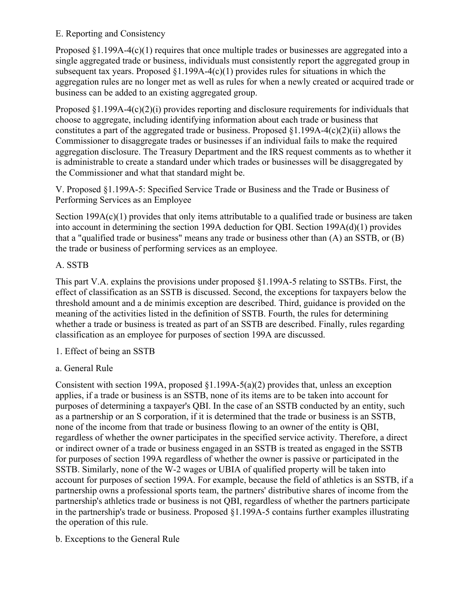# E. Reporting and Consistency

Proposed  $\S1.199A-4(c)(1)$  requires that once multiple trades or businesses are aggregated into a single aggregated trade or business, individuals must consistently report the aggregated group in subsequent tax years. Proposed  $\S1.199A-4(c)(1)$  provides rules for situations in which the aggregation rules are no longer met as well as rules for when a newly created or acquired trade or business can be added to an existing aggregated group.

Proposed  $\S1.199A-4(c)(2)(i)$  provides reporting and disclosure requirements for individuals that choose to aggregate, including identifying information about each trade or business that constitutes a part of the aggregated trade or business. Proposed  $\S1.199A-4(c)(2)(ii)$  allows the Commissioner to disaggregate trades or businesses if an individual fails to make the required aggregation disclosure. The Treasury Department and the IRS request comments as to whether it is administrable to create a standard under which trades or businesses will be disaggregated by the Commissioner and what that standard might be.

V. Proposed §1.199A-5: Specified Service Trade or Business and the Trade or Business of Performing Services as an Employee

Section 199A(c)(1) provides that only items attributable to a qualified trade or business are taken into account in determining the section 199A deduction for QBI. Section 199A(d)(1) provides that a "qualified trade or business" means any trade or business other than (A) an SSTB, or (B) the trade or business of performing services as an employee.

# A. SSTB

This part V.A. explains the provisions under proposed §1.199A-5 relating to SSTBs. First, the effect of classification as an SSTB is discussed. Second, the exceptions for taxpayers below the threshold amount and a de minimis exception are described. Third, guidance is provided on the meaning of the activities listed in the definition of SSTB. Fourth, the rules for determining whether a trade or business is treated as part of an SSTB are described. Finally, rules regarding classification as an employee for purposes of section 199A are discussed.

- 1. Effect of being an SSTB
- a. General Rule

Consistent with section 199A, proposed §1.199A-5(a)(2) provides that, unless an exception applies, if a trade or business is an SSTB, none of its items are to be taken into account for purposes of determining a taxpayer's QBI. In the case of an SSTB conducted by an entity, such as a partnership or an S corporation, if it is determined that the trade or business is an SSTB, none of the income from that trade or business flowing to an owner of the entity is QBI, regardless of whether the owner participates in the specified service activity. Therefore, a direct or indirect owner of a trade or business engaged in an SSTB is treated as engaged in the SSTB for purposes of section 199A regardless of whether the owner is passive or participated in the SSTB. Similarly, none of the W-2 wages or UBIA of qualified property will be taken into account for purposes of section 199A. For example, because the field of athletics is an SSTB, if a partnership owns a professional sports team, the partners' distributive shares of income from the partnership's athletics trade or business is not QBI, regardless of whether the partners participate in the partnership's trade or business. Proposed §1.199A-5 contains further examples illustrating the operation of this rule.

b. Exceptions to the General Rule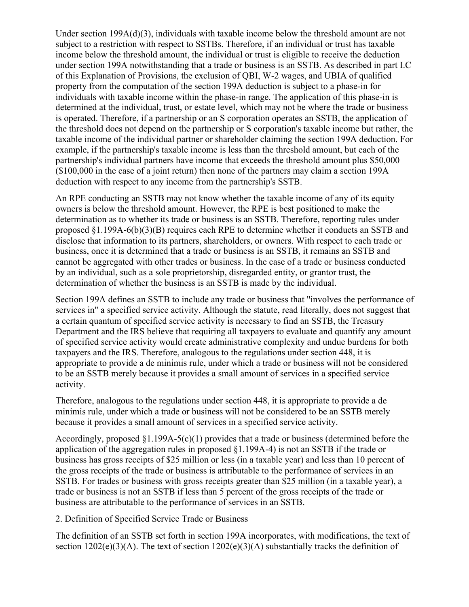Under section 199A(d)(3), individuals with taxable income below the threshold amount are not subject to a restriction with respect to SSTBs. Therefore, if an individual or trust has taxable income below the threshold amount, the individual or trust is eligible to receive the deduction under section 199A notwithstanding that a trade or business is an SSTB. As described in part I.C of this Explanation of Provisions, the exclusion of QBI, W-2 wages, and UBIA of qualified property from the computation of the section 199A deduction is subject to a phase-in for individuals with taxable income within the phase-in range. The application of this phase-in is determined at the individual, trust, or estate level, which may not be where the trade or business is operated. Therefore, if a partnership or an S corporation operates an SSTB, the application of the threshold does not depend on the partnership or S corporation's taxable income but rather, the taxable income of the individual partner or shareholder claiming the section 199A deduction. For example, if the partnership's taxable income is less than the threshold amount, but each of the partnership's individual partners have income that exceeds the threshold amount plus \$50,000 (\$100,000 in the case of a joint return) then none of the partners may claim a section 199A deduction with respect to any income from the partnership's SSTB.

An RPE conducting an SSTB may not know whether the taxable income of any of its equity owners is below the threshold amount. However, the RPE is best positioned to make the determination as to whether its trade or business is an SSTB. Therefore, reporting rules under proposed §1.199A-6(b)(3)(B) requires each RPE to determine whether it conducts an SSTB and disclose that information to its partners, shareholders, or owners. With respect to each trade or business, once it is determined that a trade or business is an SSTB, it remains an SSTB and cannot be aggregated with other trades or business. In the case of a trade or business conducted by an individual, such as a sole proprietorship, disregarded entity, or grantor trust, the determination of whether the business is an SSTB is made by the individual.

Section 199A defines an SSTB to include any trade or business that "involves the performance of services in" a specified service activity. Although the statute, read literally, does not suggest that a certain quantum of specified service activity is necessary to find an SSTB, the Treasury Department and the IRS believe that requiring all taxpayers to evaluate and quantify any amount of specified service activity would create administrative complexity and undue burdens for both taxpayers and the IRS. Therefore, analogous to the regulations under section 448, it is appropriate to provide a de minimis rule, under which a trade or business will not be considered to be an SSTB merely because it provides a small amount of services in a specified service activity.

Therefore, analogous to the regulations under section 448, it is appropriate to provide a de minimis rule, under which a trade or business will not be considered to be an SSTB merely because it provides a small amount of services in a specified service activity.

Accordingly, proposed §1.199A-5(c)(1) provides that a trade or business (determined before the application of the aggregation rules in proposed §1.199A-4) is not an SSTB if the trade or business has gross receipts of \$25 million or less (in a taxable year) and less than 10 percent of the gross receipts of the trade or business is attributable to the performance of services in an SSTB. For trades or business with gross receipts greater than \$25 million (in a taxable year), a trade or business is not an SSTB if less than 5 percent of the gross receipts of the trade or business are attributable to the performance of services in an SSTB.

2. Definition of Specified Service Trade or Business

The definition of an SSTB set forth in section 199A incorporates, with modifications, the text of section  $1202(e)(3)(A)$ . The text of section  $1202(e)(3)(A)$  substantially tracks the definition of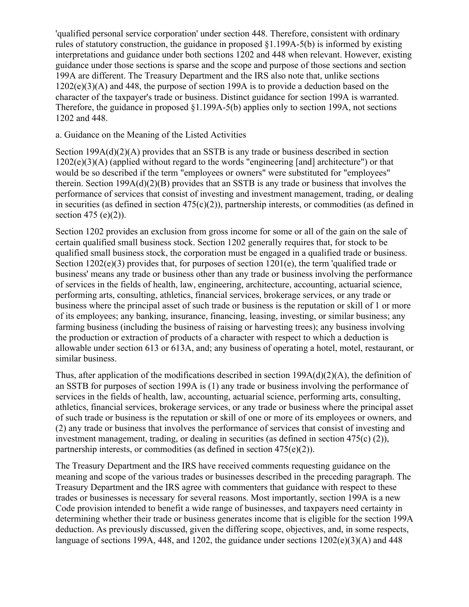'qualified personal service corporation' under section 448. Therefore, consistent with ordinary rules of statutory construction, the guidance in proposed  $\S1.199A-5(b)$  is informed by existing interpretations and guidance under both sections 1202 and 448 when relevant. However, existing guidance under those sections is sparse and the scope and purpose of those sections and section 199A are different. The Treasury Department and the IRS also note that, unlike sections  $1202(e)(3)(A)$  and 448, the purpose of section 199A is to provide a deduction based on the character of the taxpayer's trade or business. Distinct guidance for section 199A is warranted. Therefore, the guidance in proposed §1.199A-5(b) applies only to section 199A, not sections 1202 and 448.

#### a. Guidance on the Meaning of the Listed Activities

Section 199A(d)(2)(A) provides that an SSTB is any trade or business described in section  $1202(e)(3)(A)$  (applied without regard to the words "engineering [and] architecture") or that would be so described if the term "employees or owners" were substituted for "employees" therein. Section 199A(d)(2)(B) provides that an SSTB is any trade or business that involves the performance of services that consist of investing and investment management, trading, or dealing in securities (as defined in section  $475(c)(2)$ ), partnership interests, or commodities (as defined in section 475 (e)(2)).

Section 1202 provides an exclusion from gross income for some or all of the gain on the sale of certain qualified small business stock. Section 1202 generally requires that, for stock to be qualified small business stock, the corporation must be engaged in a qualified trade or business. Section 1202(e)(3) provides that, for purposes of section 1201(e), the term 'qualified trade or business' means any trade or business other than any trade or business involving the performance of services in the fields of health, law, engineering, architecture, accounting, actuarial science, performing arts, consulting, athletics, financial services, brokerage services, or any trade or business where the principal asset of such trade or business is the reputation or skill of 1 or more of its employees; any banking, insurance, financing, leasing, investing, or similar business; any farming business (including the business of raising or harvesting trees); any business involving the production or extraction of products of a character with respect to which a deduction is allowable under section 613 or 613A, and; any business of operating a hotel, motel, restaurant, or similar business.

Thus, after application of the modifications described in section 199A(d)(2)(A), the definition of an SSTB for purposes of section 199A is (1) any trade or business involving the performance of services in the fields of health, law, accounting, actuarial science, performing arts, consulting, athletics, financial services, brokerage services, or any trade or business where the principal asset of such trade or business is the reputation or skill of one or more of its employees or owners, and (2) any trade or business that involves the performance of services that consist of investing and investment management, trading, or dealing in securities (as defined in section 475(c) (2)), partnership interests, or commodities (as defined in section 475(e)(2)).

The Treasury Department and the IRS have received comments requesting guidance on the meaning and scope of the various trades or businesses described in the preceding paragraph. The Treasury Department and the IRS agree with commenters that guidance with respect to these trades or businesses is necessary for several reasons. Most importantly, section 199A is a new Code provision intended to benefit a wide range of businesses, and taxpayers need certainty in determining whether their trade or business generates income that is eligible for the section 199A deduction. As previously discussed, given the differing scope, objectives, and, in some respects, language of sections 199A, 448, and 1202, the guidance under sections 1202(e)(3)(A) and 448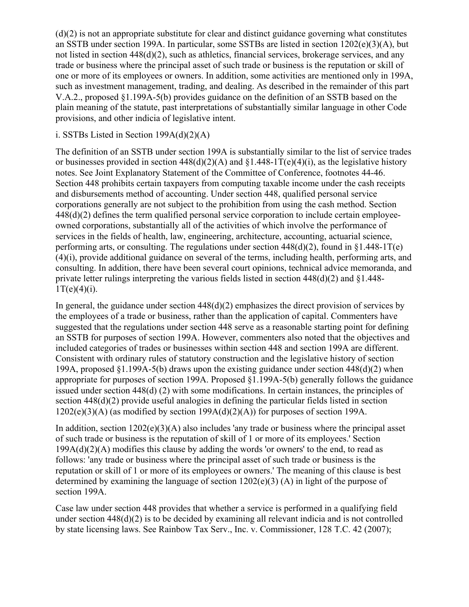(d)(2) is not an appropriate substitute for clear and distinct guidance governing what constitutes an SSTB under section 199A. In particular, some SSTBs are listed in section 1202(e)(3)(A), but not listed in section 448(d)(2), such as athletics, financial services, brokerage services, and any trade or business where the principal asset of such trade or business is the reputation or skill of one or more of its employees or owners. In addition, some activities are mentioned only in 199A, such as investment management, trading, and dealing. As described in the remainder of this part V.A.2., proposed §1.199A-5(b) provides guidance on the definition of an SSTB based on the plain meaning of the statute, past interpretations of substantially similar language in other Code provisions, and other indicia of legislative intent.

# i. SSTBs Listed in Section  $199A(d)(2)(A)$

The definition of an SSTB under section 199A is substantially similar to the list of service trades or businesses provided in section  $448(d)(2)(A)$  and  $$1.448-1T(e)(4)(i)$ , as the legislative history notes. See Joint Explanatory Statement of the Committee of Conference, footnotes 44-46. Section 448 prohibits certain taxpayers from computing taxable income under the cash receipts and disbursements method of accounting. Under section 448, qualified personal service corporations generally are not subject to the prohibition from using the cash method. Section 448(d)(2) defines the term qualified personal service corporation to include certain employeeowned corporations, substantially all of the activities of which involve the performance of services in the fields of health, law, engineering, architecture, accounting, actuarial science, performing arts, or consulting. The regulations under section  $448(d)(2)$ , found in  $$1,448-1T(e)$ (4)(i), provide additional guidance on several of the terms, including health, performing arts, and consulting. In addition, there have been several court opinions, technical advice memoranda, and private letter rulings interpreting the various fields listed in section 448(d)(2) and §1.448-  $1T(e)(4)(i)$ .

In general, the guidance under section  $448(d)(2)$  emphasizes the direct provision of services by the employees of a trade or business, rather than the application of capital. Commenters have suggested that the regulations under section 448 serve as a reasonable starting point for defining an SSTB for purposes of section 199A. However, commenters also noted that the objectives and included categories of trades or businesses within section 448 and section 199A are different. Consistent with ordinary rules of statutory construction and the legislative history of section 199A, proposed §1.199A-5(b) draws upon the existing guidance under section 448(d)(2) when appropriate for purposes of section 199A. Proposed §1.199A-5(b) generally follows the guidance issued under section 448(d) (2) with some modifications. In certain instances, the principles of section 448(d)(2) provide useful analogies in defining the particular fields listed in section  $1202(e)(3)(A)$  (as modified by section  $199A(d)(2)(A)$ ) for purposes of section 199A.

In addition, section  $1202(e)(3)(A)$  also includes 'any trade or business where the principal asset of such trade or business is the reputation of skill of 1 or more of its employees.' Section  $199A(d)(2)(A)$  modifies this clause by adding the words 'or owners' to the end, to read as follows: 'any trade or business where the principal asset of such trade or business is the reputation or skill of 1 or more of its employees or owners.' The meaning of this clause is best determined by examining the language of section  $1202(e)(3)$  (A) in light of the purpose of section 199A.

Case law under section 448 provides that whether a service is performed in a qualifying field under section 448(d)(2) is to be decided by examining all relevant indicia and is not controlled by state licensing laws. See Rainbow Tax Serv., Inc. v. Commissioner, 128 T.C. 42 (2007);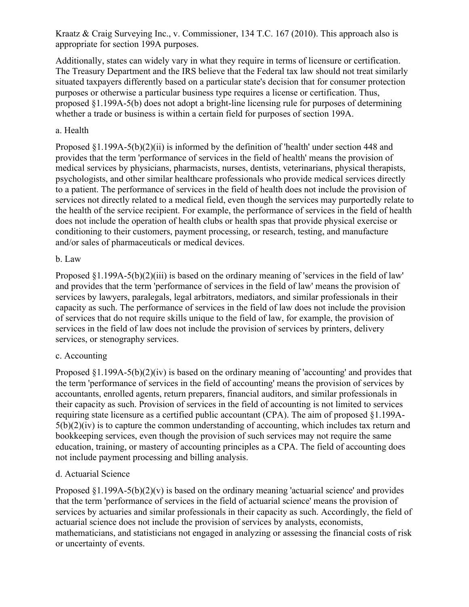Kraatz & Craig Surveying Inc., v. Commissioner, 134 T.C. 167 (2010). This approach also is appropriate for section 199A purposes.

Additionally, states can widely vary in what they require in terms of licensure or certification. The Treasury Department and the IRS believe that the Federal tax law should not treat similarly situated taxpayers differently based on a particular state's decision that for consumer protection purposes or otherwise a particular business type requires a license or certification. Thus, proposed §1.199A-5(b) does not adopt a bright-line licensing rule for purposes of determining whether a trade or business is within a certain field for purposes of section 199A.

# a. Health

Proposed §1.199A-5(b)(2)(ii) is informed by the definition of 'health' under section 448 and provides that the term 'performance of services in the field of health' means the provision of medical services by physicians, pharmacists, nurses, dentists, veterinarians, physical therapists, psychologists, and other similar healthcare professionals who provide medical services directly to a patient. The performance of services in the field of health does not include the provision of services not directly related to a medical field, even though the services may purportedly relate to the health of the service recipient. For example, the performance of services in the field of health does not include the operation of health clubs or health spas that provide physical exercise or conditioning to their customers, payment processing, or research, testing, and manufacture and/or sales of pharmaceuticals or medical devices.

# b. Law

Proposed §1.199A-5(b)(2)(iii) is based on the ordinary meaning of 'services in the field of law' and provides that the term 'performance of services in the field of law' means the provision of services by lawyers, paralegals, legal arbitrators, mediators, and similar professionals in their capacity as such. The performance of services in the field of law does not include the provision of services that do not require skills unique to the field of law, for example, the provision of services in the field of law does not include the provision of services by printers, delivery services, or stenography services.

# c. Accounting

Proposed  $\S1.199A-5(b)(2)(iv)$  is based on the ordinary meaning of 'accounting' and provides that the term 'performance of services in the field of accounting' means the provision of services by accountants, enrolled agents, return preparers, financial auditors, and similar professionals in their capacity as such. Provision of services in the field of accounting is not limited to services requiring state licensure as a certified public accountant (CPA). The aim of proposed §1.199A- $5(b)(2)(iv)$  is to capture the common understanding of accounting, which includes tax return and bookkeeping services, even though the provision of such services may not require the same education, training, or mastery of accounting principles as a CPA. The field of accounting does not include payment processing and billing analysis.

# d. Actuarial Science

Proposed  $\S1.199A-5(b)(2)(v)$  is based on the ordinary meaning 'actuarial science' and provides that the term 'performance of services in the field of actuarial science' means the provision of services by actuaries and similar professionals in their capacity as such. Accordingly, the field of actuarial science does not include the provision of services by analysts, economists, mathematicians, and statisticians not engaged in analyzing or assessing the financial costs of risk or uncertainty of events.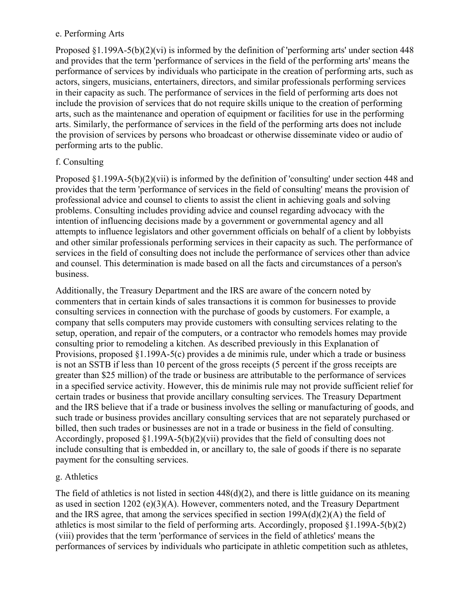#### e. Performing Arts

Proposed §1.199A-5(b)(2)(vi) is informed by the definition of 'performing arts' under section 448 and provides that the term 'performance of services in the field of the performing arts' means the performance of services by individuals who participate in the creation of performing arts, such as actors, singers, musicians, entertainers, directors, and similar professionals performing services in their capacity as such. The performance of services in the field of performing arts does not include the provision of services that do not require skills unique to the creation of performing arts, such as the maintenance and operation of equipment or facilities for use in the performing arts. Similarly, the performance of services in the field of the performing arts does not include the provision of services by persons who broadcast or otherwise disseminate video or audio of performing arts to the public.

# f. Consulting

Proposed §1.199A-5(b)(2)(vii) is informed by the definition of 'consulting' under section 448 and provides that the term 'performance of services in the field of consulting' means the provision of professional advice and counsel to clients to assist the client in achieving goals and solving problems. Consulting includes providing advice and counsel regarding advocacy with the intention of influencing decisions made by a government or governmental agency and all attempts to influence legislators and other government officials on behalf of a client by lobbyists and other similar professionals performing services in their capacity as such. The performance of services in the field of consulting does not include the performance of services other than advice and counsel. This determination is made based on all the facts and circumstances of a person's business.

Additionally, the Treasury Department and the IRS are aware of the concern noted by commenters that in certain kinds of sales transactions it is common for businesses to provide consulting services in connection with the purchase of goods by customers. For example, a company that sells computers may provide customers with consulting services relating to the setup, operation, and repair of the computers, or a contractor who remodels homes may provide consulting prior to remodeling a kitchen. As described previously in this Explanation of Provisions, proposed §1.199A-5(c) provides a de minimis rule, under which a trade or business is not an SSTB if less than 10 percent of the gross receipts (5 percent if the gross receipts are greater than \$25 million) of the trade or business are attributable to the performance of services in a specified service activity. However, this de minimis rule may not provide sufficient relief for certain trades or business that provide ancillary consulting services. The Treasury Department and the IRS believe that if a trade or business involves the selling or manufacturing of goods, and such trade or business provides ancillary consulting services that are not separately purchased or billed, then such trades or businesses are not in a trade or business in the field of consulting. Accordingly, proposed §1.199A-5(b)(2)(vii) provides that the field of consulting does not include consulting that is embedded in, or ancillary to, the sale of goods if there is no separate payment for the consulting services.

# g. Athletics

The field of athletics is not listed in section 448(d)(2), and there is little guidance on its meaning as used in section 1202 (e)(3)(A). However, commenters noted, and the Treasury Department and the IRS agree, that among the services specified in section 199A(d)(2)(A) the field of athletics is most similar to the field of performing arts. Accordingly, proposed §1.199A-5(b)(2) (viii) provides that the term 'performance of services in the field of athletics' means the performances of services by individuals who participate in athletic competition such as athletes,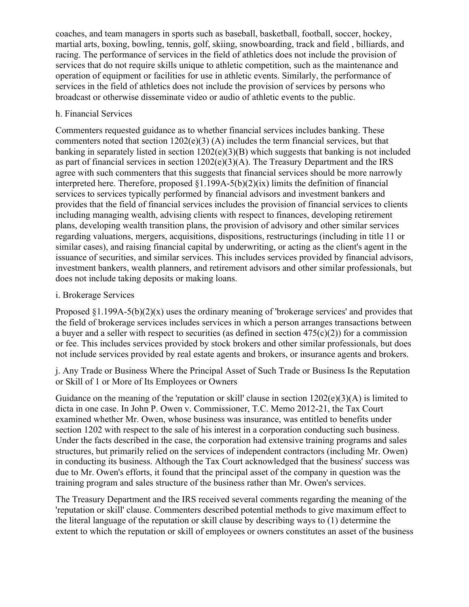coaches, and team managers in sports such as baseball, basketball, football, soccer, hockey, martial arts, boxing, bowling, tennis, golf, skiing, snowboarding, track and field , billiards, and racing. The performance of services in the field of athletics does not include the provision of services that do not require skills unique to athletic competition, such as the maintenance and operation of equipment or facilities for use in athletic events. Similarly, the performance of services in the field of athletics does not include the provision of services by persons who broadcast or otherwise disseminate video or audio of athletic events to the public.

# h. Financial Services

Commenters requested guidance as to whether financial services includes banking. These commenters noted that section  $1202(e)(3)$  (A) includes the term financial services, but that banking in separately listed in section 1202(e)(3)(B) which suggests that banking is not included as part of financial services in section 1202(e)(3)(A). The Treasury Department and the IRS agree with such commenters that this suggests that financial services should be more narrowly interpreted here. Therefore, proposed §1.199A-5(b)(2)(ix) limits the definition of financial services to services typically performed by financial advisors and investment bankers and provides that the field of financial services includes the provision of financial services to clients including managing wealth, advising clients with respect to finances, developing retirement plans, developing wealth transition plans, the provision of advisory and other similar services regarding valuations, mergers, acquisitions, dispositions, restructurings (including in title 11 or similar cases), and raising financial capital by underwriting, or acting as the client's agent in the issuance of securities, and similar services. This includes services provided by financial advisors, investment bankers, wealth planners, and retirement advisors and other similar professionals, but does not include taking deposits or making loans.

# i. Brokerage Services

Proposed  $\S1.199A-5(b)(2)(x)$  uses the ordinary meaning of 'brokerage services' and provides that the field of brokerage services includes services in which a person arranges transactions between a buyer and a seller with respect to securities (as defined in section  $475(c)(2)$ ) for a commission or fee. This includes services provided by stock brokers and other similar professionals, but does not include services provided by real estate agents and brokers, or insurance agents and brokers.

j. Any Trade or Business Where the Principal Asset of Such Trade or Business Is the Reputation or Skill of 1 or More of Its Employees or Owners

Guidance on the meaning of the 'reputation or skill' clause in section 1202(e)(3)(A) is limited to dicta in one case. In John P. Owen v. Commissioner, T.C. Memo 2012-21, the Tax Court examined whether Mr. Owen, whose business was insurance, was entitled to benefits under section 1202 with respect to the sale of his interest in a corporation conducting such business. Under the facts described in the case, the corporation had extensive training programs and sales structures, but primarily relied on the services of independent contractors (including Mr. Owen) in conducting its business. Although the Tax Court acknowledged that the business' success was due to Mr. Owen's efforts, it found that the principal asset of the company in question was the training program and sales structure of the business rather than Mr. Owen's services.

The Treasury Department and the IRS received several comments regarding the meaning of the 'reputation or skill' clause. Commenters described potential methods to give maximum effect to the literal language of the reputation or skill clause by describing ways to (1) determine the extent to which the reputation or skill of employees or owners constitutes an asset of the business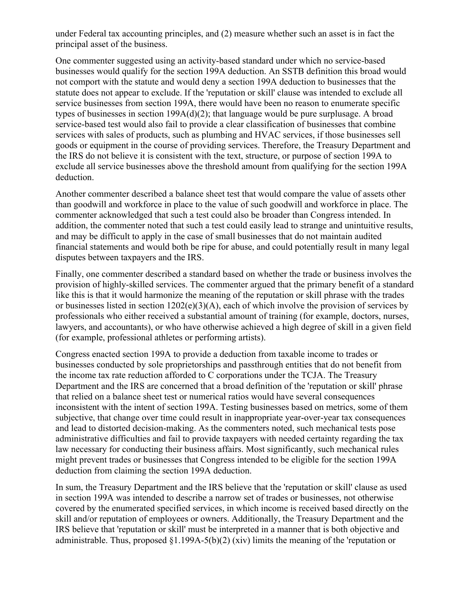under Federal tax accounting principles, and (2) measure whether such an asset is in fact the principal asset of the business.

One commenter suggested using an activity-based standard under which no service-based businesses would qualify for the section 199A deduction. An SSTB definition this broad would not comport with the statute and would deny a section 199A deduction to businesses that the statute does not appear to exclude. If the 'reputation or skill' clause was intended to exclude all service businesses from section 199A, there would have been no reason to enumerate specific types of businesses in section 199A(d)(2); that language would be pure surplusage. A broad service-based test would also fail to provide a clear classification of businesses that combine services with sales of products, such as plumbing and HVAC services, if those businesses sell goods or equipment in the course of providing services. Therefore, the Treasury Department and the IRS do not believe it is consistent with the text, structure, or purpose of section 199A to exclude all service businesses above the threshold amount from qualifying for the section 199A deduction.

Another commenter described a balance sheet test that would compare the value of assets other than goodwill and workforce in place to the value of such goodwill and workforce in place. The commenter acknowledged that such a test could also be broader than Congress intended. In addition, the commenter noted that such a test could easily lead to strange and unintuitive results, and may be difficult to apply in the case of small businesses that do not maintain audited financial statements and would both be ripe for abuse, and could potentially result in many legal disputes between taxpayers and the IRS.

Finally, one commenter described a standard based on whether the trade or business involves the provision of highly-skilled services. The commenter argued that the primary benefit of a standard like this is that it would harmonize the meaning of the reputation or skill phrase with the trades or businesses listed in section 1202(e)(3)(A), each of which involve the provision of services by professionals who either received a substantial amount of training (for example, doctors, nurses, lawyers, and accountants), or who have otherwise achieved a high degree of skill in a given field (for example, professional athletes or performing artists).

Congress enacted section 199A to provide a deduction from taxable income to trades or businesses conducted by sole proprietorships and passthrough entities that do not benefit from the income tax rate reduction afforded to C corporations under the TCJA. The Treasury Department and the IRS are concerned that a broad definition of the 'reputation or skill' phrase that relied on a balance sheet test or numerical ratios would have several consequences inconsistent with the intent of section 199A. Testing businesses based on metrics, some of them subjective, that change over time could result in inappropriate year-over-year tax consequences and lead to distorted decision-making. As the commenters noted, such mechanical tests pose administrative difficulties and fail to provide taxpayers with needed certainty regarding the tax law necessary for conducting their business affairs. Most significantly, such mechanical rules might prevent trades or businesses that Congress intended to be eligible for the section 199A deduction from claiming the section 199A deduction.

In sum, the Treasury Department and the IRS believe that the 'reputation or skill' clause as used in section 199A was intended to describe a narrow set of trades or businesses, not otherwise covered by the enumerated specified services, in which income is received based directly on the skill and/or reputation of employees or owners. Additionally, the Treasury Department and the IRS believe that 'reputation or skill' must be interpreted in a manner that is both objective and administrable. Thus, proposed  $\S1.199A-5(b)(2)$  (xiv) limits the meaning of the 'reputation or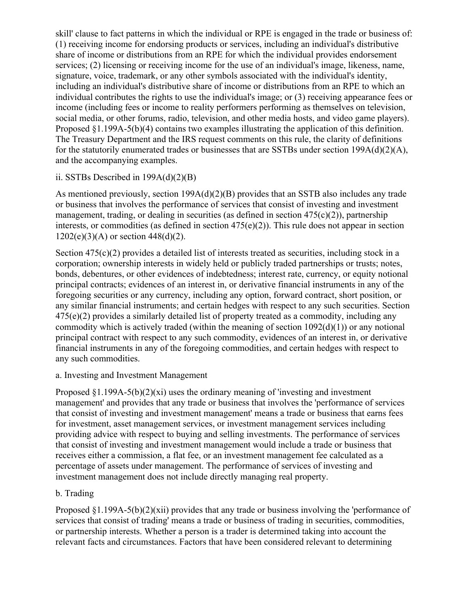skill' clause to fact patterns in which the individual or RPE is engaged in the trade or business of: (1) receiving income for endorsing products or services, including an individual's distributive share of income or distributions from an RPE for which the individual provides endorsement services; (2) licensing or receiving income for the use of an individual's image, likeness, name, signature, voice, trademark, or any other symbols associated with the individual's identity, including an individual's distributive share of income or distributions from an RPE to which an individual contributes the rights to use the individual's image; or (3) receiving appearance fees or income (including fees or income to reality performers performing as themselves on television, social media, or other forums, radio, television, and other media hosts, and video game players). Proposed §1.199A-5(b)(4) contains two examples illustrating the application of this definition. The Treasury Department and the IRS request comments on this rule, the clarity of definitions for the statutorily enumerated trades or businesses that are SSTBs under section  $199A(d)(2)(A)$ , and the accompanying examples.

# ii. SSTBs Described in  $199A(d)(2)(B)$

As mentioned previously, section 199A(d)(2)(B) provides that an SSTB also includes any trade or business that involves the performance of services that consist of investing and investment management, trading, or dealing in securities (as defined in section 475(c)(2)), partnership interests, or commodities (as defined in section  $475(e)(2)$ ). This rule does not appear in section  $1202(e)(3)(A)$  or section  $448(d)(2)$ .

Section 475(c)(2) provides a detailed list of interests treated as securities, including stock in a corporation; ownership interests in widely held or publicly traded partnerships or trusts; notes, bonds, debentures, or other evidences of indebtedness; interest rate, currency, or equity notional principal contracts; evidences of an interest in, or derivative financial instruments in any of the foregoing securities or any currency, including any option, forward contract, short position, or any similar financial instruments; and certain hedges with respect to any such securities. Section  $475(e)(2)$  provides a similarly detailed list of property treated as a commodity, including any commodity which is actively traded (within the meaning of section  $1092(d)(1)$ ) or any notional principal contract with respect to any such commodity, evidences of an interest in, or derivative financial instruments in any of the foregoing commodities, and certain hedges with respect to any such commodities.

# a. Investing and Investment Management

Proposed  $\S1.199A-5(b)(2)(xi)$  uses the ordinary meaning of 'investing and investment management' and provides that any trade or business that involves the 'performance of services that consist of investing and investment management' means a trade or business that earns fees for investment, asset management services, or investment management services including providing advice with respect to buying and selling investments. The performance of services that consist of investing and investment management would include a trade or business that receives either a commission, a flat fee, or an investment management fee calculated as a percentage of assets under management. The performance of services of investing and investment management does not include directly managing real property.

# b. Trading

Proposed §1.199A-5(b)(2)(xii) provides that any trade or business involving the 'performance of services that consist of trading' means a trade or business of trading in securities, commodities, or partnership interests. Whether a person is a trader is determined taking into account the relevant facts and circumstances. Factors that have been considered relevant to determining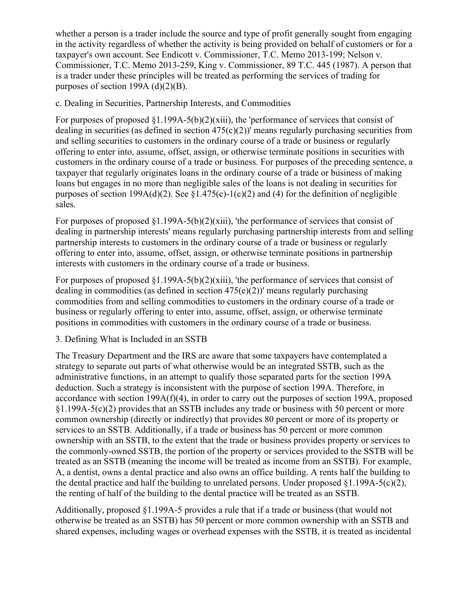whether a person is a trader include the source and type of profit generally sought from engaging in the activity regardless of whether the activity is being provided on behalf of customers or for a taxpayer's own account. See Endicott v. Commissioner, T.C. Memo 2013-199; Nelson v. Commissioner, T.C. Memo 2013-259, King v. Commissioner, 89 T.C. 445 (1987). A person that is a trader under these principles will be treated as performing the services of trading for purposes of section 199A  $(d)(2)(B)$ .

#### c. Dealing in Securities, Partnership Interests, and Commodities

For purposes of proposed §1.199A-5(b)(2)(xiii), the 'performance of services that consist of dealing in securities (as defined in section  $475(c)(2)$ )' means regularly purchasing securities from and selling securities to customers in the ordinary course of a trade or business or regularly offering to enter into, assume, offset, assign, or otherwise terminate positions in securities with customers in the ordinary course of a trade or business. For purposes of the preceding sentence, a taxpayer that regularly originates loans in the ordinary course of a trade or business of making loans but engages in no more than negligible sales of the loans is not dealing in securities for purposes of section 199A(d)(2). See §1.475(c)-1(c)(2) and (4) for the definition of negligible sales.

For purposes of proposed §1.199A-5(b)(2)(xiii), 'the performance of services that consist of dealing in partnership interests' means regularly purchasing partnership interests from and selling partnership interests to customers in the ordinary course of a trade or business or regularly offering to enter into, assume, offset, assign, or otherwise terminate positions in partnership interests with customers in the ordinary course of a trade or business.

For purposes of proposed §1.199A-5(b)(2)(xiii), 'the performance of services that consist of dealing in commodities (as defined in section  $475(e)(2)$ )' means regularly purchasing commodities from and selling commodities to customers in the ordinary course of a trade or business or regularly offering to enter into, assume, offset, assign, or otherwise terminate positions in commodities with customers in the ordinary course of a trade or business.

#### 3. Defining What is Included in an SSTB

The Treasury Department and the IRS are aware that some taxpayers have contemplated a strategy to separate out parts of what otherwise would be an integrated SSTB, such as the administrative functions, in an attempt to qualify those separated parts for the section 199A deduction. Such a strategy is inconsistent with the purpose of section 199A. Therefore, in accordance with section 199A(f)(4), in order to carry out the purposes of section 199A, proposed §1.199A-5(c)(2) provides that an SSTB includes any trade or business with 50 percent or more common ownership (directly or indirectly) that provides 80 percent or more of its property or services to an SSTB. Additionally, if a trade or business has 50 percent or more common ownership with an SSTB, to the extent that the trade or business provides property or services to the commonly-owned SSTB, the portion of the property or services provided to the SSTB will be treated as an SSTB (meaning the income will be treated as income from an SSTB). For example, A, a dentist, owns a dental practice and also owns an office building. A rents half the building to the dental practice and half the building to unrelated persons. Under proposed  $\S1.199A-5(c)(2)$ , the renting of half of the building to the dental practice will be treated as an SSTB.

Additionally, proposed §1.199A-5 provides a rule that if a trade or business (that would not otherwise be treated as an SSTB) has 50 percent or more common ownership with an SSTB and shared expenses, including wages or overhead expenses with the SSTB, it is treated as incidental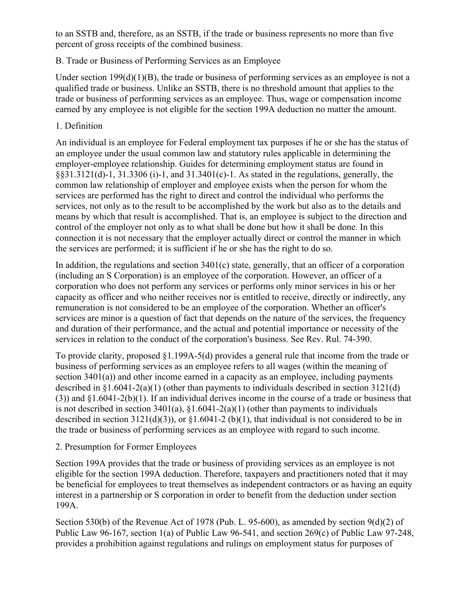to an SSTB and, therefore, as an SSTB, if the trade or business represents no more than five percent of gross receipts of the combined business.

# B. Trade or Business of Performing Services as an Employee

Under section 199(d)(1)(B), the trade or business of performing services as an employee is not a qualified trade or business. Unlike an SSTB, there is no threshold amount that applies to the trade or business of performing services as an employee. Thus, wage or compensation income earned by any employee is not eligible for the section 199A deduction no matter the amount.

# 1. Definition

An individual is an employee for Federal employment tax purposes if he or she has the status of an employee under the usual common law and statutory rules applicable in determining the employer-employee relationship. Guides for determining employment status are found in  $§§31.3121(d)-1, 31.3306(i)-1, and 31.3401(c)-1.$  As stated in the regulations, generally, the common law relationship of employer and employee exists when the person for whom the services are performed has the right to direct and control the individual who performs the services, not only as to the result to be accomplished by the work but also as to the details and means by which that result is accomplished. That is, an employee is subject to the direction and control of the employer not only as to what shall be done but how it shall be done. In this connection it is not necessary that the employer actually direct or control the manner in which the services are performed; it is sufficient if he or she has the right to do so.

In addition, the regulations and section 3401(c) state, generally, that an officer of a corporation (including an S Corporation) is an employee of the corporation. However, an officer of a corporation who does not perform any services or performs only minor services in his or her capacity as officer and who neither receives nor is entitled to receive, directly or indirectly, any remuneration is not considered to be an employee of the corporation. Whether an officer's services are minor is a question of fact that depends on the nature of the services, the frequency and duration of their performance, and the actual and potential importance or necessity of the services in relation to the conduct of the corporation's business. See Rev. Rul. 74-390.

To provide clarity, proposed §1.199A-5(d) provides a general rule that income from the trade or business of performing services as an employee refers to all wages (within the meaning of section 3401(a)) and other income earned in a capacity as an employee, including payments described in  $\S1.6041-2(a)(1)$  (other than payments to individuals described in section 3121(d) (3)) and §1.6041-2(b)(1). If an individual derives income in the course of a trade or business that is not described in section  $3401(a)$ ,  $§1.6041-2(a)(1)$  (other than payments to individuals described in section  $3121(d)(3)$ , or  $§1.6041-2(b)(1)$ , that individual is not considered to be in the trade or business of performing services as an employee with regard to such income.

# 2. Presumption for Former Employees

Section 199A provides that the trade or business of providing services as an employee is not eligible for the section 199A deduction. Therefore, taxpayers and practitioners noted that it may be beneficial for employees to treat themselves as independent contractors or as having an equity interest in a partnership or S corporation in order to benefit from the deduction under section 199A.

Section 530(b) of the Revenue Act of 1978 (Pub. L. 95-600), as amended by section 9(d)(2) of Public Law 96-167, section 1(a) of Public Law 96-541, and section 269(c) of Public Law 97-248, provides a prohibition against regulations and rulings on employment status for purposes of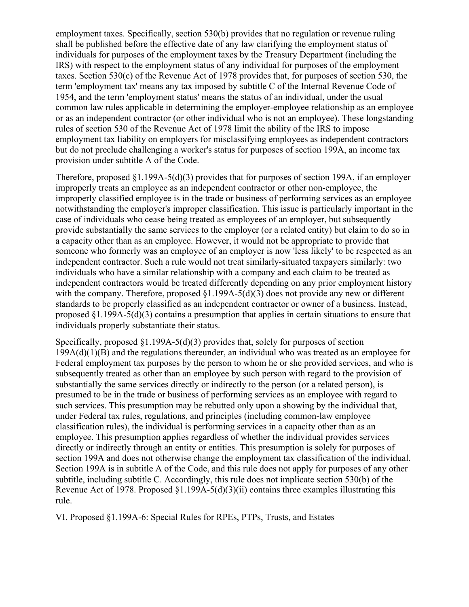employment taxes. Specifically, section 530(b) provides that no regulation or revenue ruling shall be published before the effective date of any law clarifying the employment status of individuals for purposes of the employment taxes by the Treasury Department (including the IRS) with respect to the employment status of any individual for purposes of the employment taxes. Section 530(c) of the Revenue Act of 1978 provides that, for purposes of section 530, the term 'employment tax' means any tax imposed by subtitle C of the Internal Revenue Code of 1954, and the term 'employment status' means the status of an individual, under the usual common law rules applicable in determining the employer-employee relationship as an employee or as an independent contractor (or other individual who is not an employee). These longstanding rules of section 530 of the Revenue Act of 1978 limit the ability of the IRS to impose employment tax liability on employers for misclassifying employees as independent contractors but do not preclude challenging a worker's status for purposes of section 199A, an income tax provision under subtitle A of the Code.

Therefore, proposed §1.199A-5(d)(3) provides that for purposes of section 199A, if an employer improperly treats an employee as an independent contractor or other non-employee, the improperly classified employee is in the trade or business of performing services as an employee notwithstanding the employer's improper classification. This issue is particularly important in the case of individuals who cease being treated as employees of an employer, but subsequently provide substantially the same services to the employer (or a related entity) but claim to do so in a capacity other than as an employee. However, it would not be appropriate to provide that someone who formerly was an employee of an employer is now 'less likely' to be respected as an independent contractor. Such a rule would not treat similarly-situated taxpayers similarly: two individuals who have a similar relationship with a company and each claim to be treated as independent contractors would be treated differently depending on any prior employment history with the company. Therefore, proposed  $\S1.199A-5(d)(3)$  does not provide any new or different standards to be properly classified as an independent contractor or owner of a business. Instead, proposed §1.199A-5(d)(3) contains a presumption that applies in certain situations to ensure that individuals properly substantiate their status.

Specifically, proposed  $\S1.199A-5(d)(3)$  provides that, solely for purposes of section 199A(d)(1)(B) and the regulations thereunder, an individual who was treated as an employee for Federal employment tax purposes by the person to whom he or she provided services, and who is subsequently treated as other than an employee by such person with regard to the provision of substantially the same services directly or indirectly to the person (or a related person), is presumed to be in the trade or business of performing services as an employee with regard to such services. This presumption may be rebutted only upon a showing by the individual that, under Federal tax rules, regulations, and principles (including common-law employee classification rules), the individual is performing services in a capacity other than as an employee. This presumption applies regardless of whether the individual provides services directly or indirectly through an entity or entities. This presumption is solely for purposes of section 199A and does not otherwise change the employment tax classification of the individual. Section 199A is in subtitle A of the Code, and this rule does not apply for purposes of any other subtitle, including subtitle C. Accordingly, this rule does not implicate section 530(b) of the Revenue Act of 1978. Proposed §1.199A-5(d)(3)(ii) contains three examples illustrating this rule.

VI. Proposed §1.199A-6: Special Rules for RPEs, PTPs, Trusts, and Estates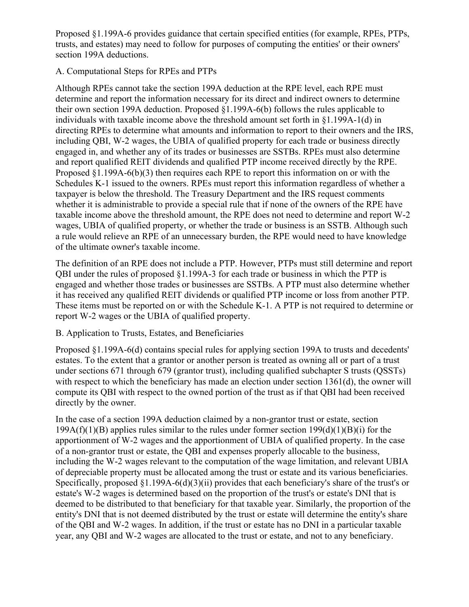Proposed §1.199A-6 provides guidance that certain specified entities (for example, RPEs, PTPs, trusts, and estates) may need to follow for purposes of computing the entities' or their owners' section 199A deductions.

#### A. Computational Steps for RPEs and PTPs

Although RPEs cannot take the section 199A deduction at the RPE level, each RPE must determine and report the information necessary for its direct and indirect owners to determine their own section 199A deduction. Proposed §1.199A-6(b) follows the rules applicable to individuals with taxable income above the threshold amount set forth in §1.199A-1(d) in directing RPEs to determine what amounts and information to report to their owners and the IRS, including QBI, W-2 wages, the UBIA of qualified property for each trade or business directly engaged in, and whether any of its trades or businesses are SSTBs. RPEs must also determine and report qualified REIT dividends and qualified PTP income received directly by the RPE. Proposed §1.199A-6(b)(3) then requires each RPE to report this information on or with the Schedules K-1 issued to the owners. RPEs must report this information regardless of whether a taxpayer is below the threshold. The Treasury Department and the IRS request comments whether it is administrable to provide a special rule that if none of the owners of the RPE have taxable income above the threshold amount, the RPE does not need to determine and report W-2 wages, UBIA of qualified property, or whether the trade or business is an SSTB. Although such a rule would relieve an RPE of an unnecessary burden, the RPE would need to have knowledge of the ultimate owner's taxable income.

The definition of an RPE does not include a PTP. However, PTPs must still determine and report QBI under the rules of proposed §1.199A-3 for each trade or business in which the PTP is engaged and whether those trades or businesses are SSTBs. A PTP must also determine whether it has received any qualified REIT dividends or qualified PTP income or loss from another PTP. These items must be reported on or with the Schedule K-1. A PTP is not required to determine or report W-2 wages or the UBIA of qualified property.

# B. Application to Trusts, Estates, and Beneficiaries

Proposed §1.199A-6(d) contains special rules for applying section 199A to trusts and decedents' estates. To the extent that a grantor or another person is treated as owning all or part of a trust under sections 671 through 679 (grantor trust), including qualified subchapter S trusts (QSSTs) with respect to which the beneficiary has made an election under section 1361(d), the owner will compute its QBI with respect to the owned portion of the trust as if that QBI had been received directly by the owner.

In the case of a section 199A deduction claimed by a non-grantor trust or estate, section 199A(f)(1)(B) applies rules similar to the rules under former section  $199(d)(1)(B)(i)$  for the apportionment of W-2 wages and the apportionment of UBIA of qualified property. In the case of a non-grantor trust or estate, the QBI and expenses properly allocable to the business, including the W-2 wages relevant to the computation of the wage limitation, and relevant UBIA of depreciable property must be allocated among the trust or estate and its various beneficiaries. Specifically, proposed  $\S1.199A-6(d)(3)(ii)$  provides that each beneficiary's share of the trust's or estate's W-2 wages is determined based on the proportion of the trust's or estate's DNI that is deemed to be distributed to that beneficiary for that taxable year. Similarly, the proportion of the entity's DNI that is not deemed distributed by the trust or estate will determine the entity's share of the QBI and W-2 wages. In addition, if the trust or estate has no DNI in a particular taxable year, any QBI and W-2 wages are allocated to the trust or estate, and not to any beneficiary.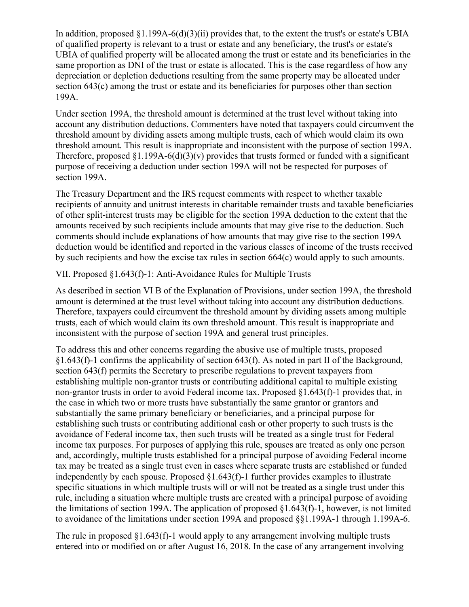In addition, proposed  $\S1.199A-6(d)(3)(ii)$  provides that, to the extent the trust's or estate's UBIA of qualified property is relevant to a trust or estate and any beneficiary, the trust's or estate's UBIA of qualified property will be allocated among the trust or estate and its beneficiaries in the same proportion as DNI of the trust or estate is allocated. This is the case regardless of how any depreciation or depletion deductions resulting from the same property may be allocated under section 643(c) among the trust or estate and its beneficiaries for purposes other than section 199A.

Under section 199A, the threshold amount is determined at the trust level without taking into account any distribution deductions. Commenters have noted that taxpayers could circumvent the threshold amount by dividing assets among multiple trusts, each of which would claim its own threshold amount. This result is inappropriate and inconsistent with the purpose of section 199A. Therefore, proposed  $\S1.199A-6(d)(3)(v)$  provides that trusts formed or funded with a significant purpose of receiving a deduction under section 199A will not be respected for purposes of section 199A.

The Treasury Department and the IRS request comments with respect to whether taxable recipients of annuity and unitrust interests in charitable remainder trusts and taxable beneficiaries of other split-interest trusts may be eligible for the section 199A deduction to the extent that the amounts received by such recipients include amounts that may give rise to the deduction. Such comments should include explanations of how amounts that may give rise to the section 199A deduction would be identified and reported in the various classes of income of the trusts received by such recipients and how the excise tax rules in section 664(c) would apply to such amounts.

VII. Proposed §1.643(f)-1: Anti-Avoidance Rules for Multiple Trusts

As described in section VI B of the Explanation of Provisions, under section 199A, the threshold amount is determined at the trust level without taking into account any distribution deductions. Therefore, taxpayers could circumvent the threshold amount by dividing assets among multiple trusts, each of which would claim its own threshold amount. This result is inappropriate and inconsistent with the purpose of section 199A and general trust principles.

To address this and other concerns regarding the abusive use of multiple trusts, proposed §1.643(f)-1 confirms the applicability of section 643(f). As noted in part II of the Background, section 643(f) permits the Secretary to prescribe regulations to prevent taxpayers from establishing multiple non-grantor trusts or contributing additional capital to multiple existing non-grantor trusts in order to avoid Federal income tax. Proposed §1.643(f)-1 provides that, in the case in which two or more trusts have substantially the same grantor or grantors and substantially the same primary beneficiary or beneficiaries, and a principal purpose for establishing such trusts or contributing additional cash or other property to such trusts is the avoidance of Federal income tax, then such trusts will be treated as a single trust for Federal income tax purposes. For purposes of applying this rule, spouses are treated as only one person and, accordingly, multiple trusts established for a principal purpose of avoiding Federal income tax may be treated as a single trust even in cases where separate trusts are established or funded independently by each spouse. Proposed §1.643(f)-1 further provides examples to illustrate specific situations in which multiple trusts will or will not be treated as a single trust under this rule, including a situation where multiple trusts are created with a principal purpose of avoiding the limitations of section 199A. The application of proposed §1.643(f)-1, however, is not limited to avoidance of the limitations under section 199A and proposed §§1.199A-1 through 1.199A-6.

The rule in proposed  $\S1.643(f)$ -1 would apply to any arrangement involving multiple trusts entered into or modified on or after August 16, 2018. In the case of any arrangement involving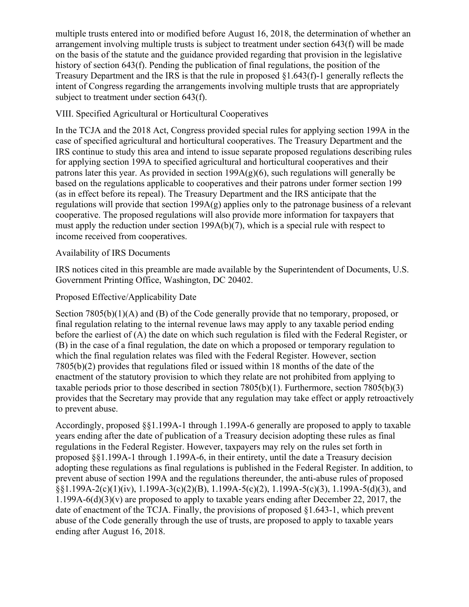multiple trusts entered into or modified before August 16, 2018, the determination of whether an arrangement involving multiple trusts is subject to treatment under section 643(f) will be made on the basis of the statute and the guidance provided regarding that provision in the legislative history of section 643(f). Pending the publication of final regulations, the position of the Treasury Department and the IRS is that the rule in proposed §1.643(f)-1 generally reflects the intent of Congress regarding the arrangements involving multiple trusts that are appropriately subject to treatment under section 643(f).

# VIII. Specified Agricultural or Horticultural Cooperatives

In the TCJA and the 2018 Act, Congress provided special rules for applying section 199A in the case of specified agricultural and horticultural cooperatives. The Treasury Department and the IRS continue to study this area and intend to issue separate proposed regulations describing rules for applying section 199A to specified agricultural and horticultural cooperatives and their patrons later this year. As provided in section  $199A(g)(6)$ , such regulations will generally be based on the regulations applicable to cooperatives and their patrons under former section 199 (as in effect before its repeal). The Treasury Department and the IRS anticipate that the regulations will provide that section 199A(g) applies only to the patronage business of a relevant cooperative. The proposed regulations will also provide more information for taxpayers that must apply the reduction under section 199A(b)(7), which is a special rule with respect to income received from cooperatives.

# Availability of IRS Documents

IRS notices cited in this preamble are made available by the Superintendent of Documents, U.S. Government Printing Office, Washington, DC 20402.

#### Proposed Effective/Applicability Date

Section 7805(b)(1)(A) and (B) of the Code generally provide that no temporary, proposed, or final regulation relating to the internal revenue laws may apply to any taxable period ending before the earliest of (A) the date on which such regulation is filed with the Federal Register, or (B) in the case of a final regulation, the date on which a proposed or temporary regulation to which the final regulation relates was filed with the Federal Register. However, section 7805(b)(2) provides that regulations filed or issued within 18 months of the date of the enactment of the statutory provision to which they relate are not prohibited from applying to taxable periods prior to those described in section 7805(b)(1). Furthermore, section 7805(b)(3) provides that the Secretary may provide that any regulation may take effect or apply retroactively to prevent abuse.

Accordingly, proposed §§1.199A-1 through 1.199A-6 generally are proposed to apply to taxable years ending after the date of publication of a Treasury decision adopting these rules as final regulations in the Federal Register. However, taxpayers may rely on the rules set forth in proposed §§1.199A-1 through 1.199A-6, in their entirety, until the date a Treasury decision adopting these regulations as final regulations is published in the Federal Register. In addition, to prevent abuse of section 199A and the regulations thereunder, the anti-abuse rules of proposed  $\S(1.199A-2(c)(1)(iv), 1.199A-3(c)(2)(B), 1.199A-5(c)(2), 1.199A-5(c)(3), 1.199A-5(d)(3), and$ 1.199A-6(d)(3)(v) are proposed to apply to taxable years ending after December 22, 2017, the date of enactment of the TCJA. Finally, the provisions of proposed §1.643-1, which prevent abuse of the Code generally through the use of trusts, are proposed to apply to taxable years ending after August 16, 2018.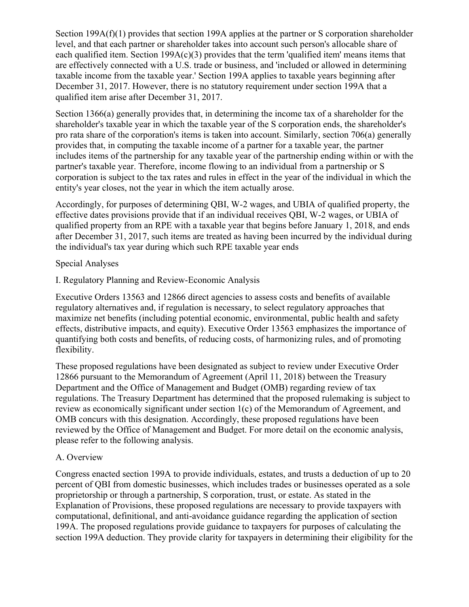Section 199A(f)(1) provides that section 199A applies at the partner or S corporation shareholder level, and that each partner or shareholder takes into account such person's allocable share of each qualified item. Section  $199A(c)(3)$  provides that the term 'qualified item' means items that are effectively connected with a U.S. trade or business, and 'included or allowed in determining taxable income from the taxable year.' Section 199A applies to taxable years beginning after December 31, 2017. However, there is no statutory requirement under section 199A that a qualified item arise after December 31, 2017.

Section 1366(a) generally provides that, in determining the income tax of a shareholder for the shareholder's taxable year in which the taxable year of the S corporation ends, the shareholder's pro rata share of the corporation's items is taken into account. Similarly, section 706(a) generally provides that, in computing the taxable income of a partner for a taxable year, the partner includes items of the partnership for any taxable year of the partnership ending within or with the partner's taxable year. Therefore, income flowing to an individual from a partnership or S corporation is subject to the tax rates and rules in effect in the year of the individual in which the entity's year closes, not the year in which the item actually arose.

Accordingly, for purposes of determining QBI, W-2 wages, and UBIA of qualified property, the effective dates provisions provide that if an individual receives QBI, W-2 wages, or UBIA of qualified property from an RPE with a taxable year that begins before January 1, 2018, and ends after December 31, 2017, such items are treated as having been incurred by the individual during the individual's tax year during which such RPE taxable year ends

# Special Analyses

I. Regulatory Planning and Review-Economic Analysis

Executive Orders 13563 and 12866 direct agencies to assess costs and benefits of available regulatory alternatives and, if regulation is necessary, to select regulatory approaches that maximize net benefits (including potential economic, environmental, public health and safety effects, distributive impacts, and equity). Executive Order 13563 emphasizes the importance of quantifying both costs and benefits, of reducing costs, of harmonizing rules, and of promoting flexibility.

These proposed regulations have been designated as subject to review under Executive Order 12866 pursuant to the Memorandum of Agreement (April 11, 2018) between the Treasury Department and the Office of Management and Budget (OMB) regarding review of tax regulations. The Treasury Department has determined that the proposed rulemaking is subject to review as economically significant under section 1(c) of the Memorandum of Agreement, and OMB concurs with this designation. Accordingly, these proposed regulations have been reviewed by the Office of Management and Budget. For more detail on the economic analysis, please refer to the following analysis.

# A. Overview

Congress enacted section 199A to provide individuals, estates, and trusts a deduction of up to 20 percent of QBI from domestic businesses, which includes trades or businesses operated as a sole proprietorship or through a partnership, S corporation, trust, or estate. As stated in the Explanation of Provisions, these proposed regulations are necessary to provide taxpayers with computational, definitional, and anti-avoidance guidance regarding the application of section 199A. The proposed regulations provide guidance to taxpayers for purposes of calculating the section 199A deduction. They provide clarity for taxpayers in determining their eligibility for the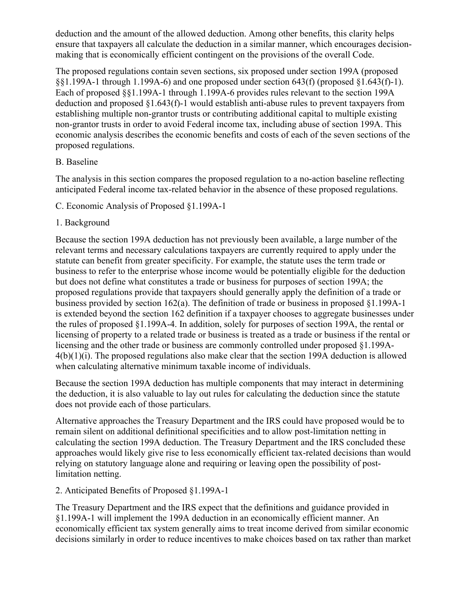deduction and the amount of the allowed deduction. Among other benefits, this clarity helps ensure that taxpayers all calculate the deduction in a similar manner, which encourages decisionmaking that is economically efficient contingent on the provisions of the overall Code.

The proposed regulations contain seven sections, six proposed under section 199A (proposed §§1.199A-1 through 1.199A-6) and one proposed under section 643(f) (proposed §1.643(f)-1). Each of proposed §§1.199A-1 through 1.199A-6 provides rules relevant to the section 199A deduction and proposed §1.643(f)-1 would establish anti-abuse rules to prevent taxpayers from establishing multiple non-grantor trusts or contributing additional capital to multiple existing non-grantor trusts in order to avoid Federal income tax, including abuse of section 199A. This economic analysis describes the economic benefits and costs of each of the seven sections of the proposed regulations.

# B. Baseline

The analysis in this section compares the proposed regulation to a no-action baseline reflecting anticipated Federal income tax-related behavior in the absence of these proposed regulations.

C. Economic Analysis of Proposed §1.199A-1

# 1. Background

Because the section 199A deduction has not previously been available, a large number of the relevant terms and necessary calculations taxpayers are currently required to apply under the statute can benefit from greater specificity. For example, the statute uses the term trade or business to refer to the enterprise whose income would be potentially eligible for the deduction but does not define what constitutes a trade or business for purposes of section 199A; the proposed regulations provide that taxpayers should generally apply the definition of a trade or business provided by section 162(a). The definition of trade or business in proposed §1.199A-1 is extended beyond the section 162 definition if a taxpayer chooses to aggregate businesses under the rules of proposed §1.199A-4. In addition, solely for purposes of section 199A, the rental or licensing of property to a related trade or business is treated as a trade or business if the rental or licensing and the other trade or business are commonly controlled under proposed §1.199A-4(b)(1)(i). The proposed regulations also make clear that the section 199A deduction is allowed when calculating alternative minimum taxable income of individuals.

Because the section 199A deduction has multiple components that may interact in determining the deduction, it is also valuable to lay out rules for calculating the deduction since the statute does not provide each of those particulars.

Alternative approaches the Treasury Department and the IRS could have proposed would be to remain silent on additional definitional specificities and to allow post-limitation netting in calculating the section 199A deduction. The Treasury Department and the IRS concluded these approaches would likely give rise to less economically efficient tax-related decisions than would relying on statutory language alone and requiring or leaving open the possibility of postlimitation netting.

# 2. Anticipated Benefits of Proposed §1.199A-1

The Treasury Department and the IRS expect that the definitions and guidance provided in §1.199A-1 will implement the 199A deduction in an economically efficient manner. An economically efficient tax system generally aims to treat income derived from similar economic decisions similarly in order to reduce incentives to make choices based on tax rather than market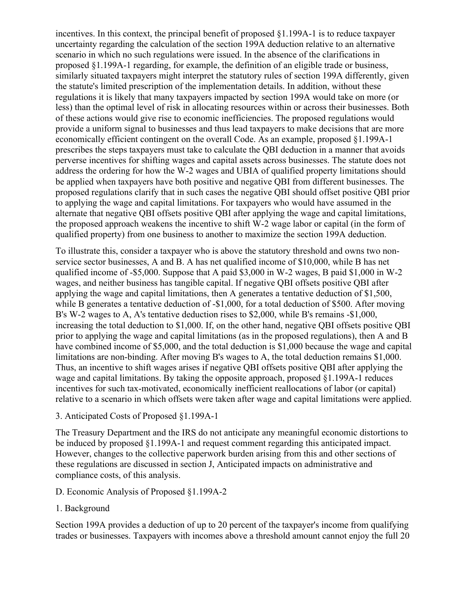incentives. In this context, the principal benefit of proposed §1.199A-1 is to reduce taxpayer uncertainty regarding the calculation of the section 199A deduction relative to an alternative scenario in which no such regulations were issued. In the absence of the clarifications in proposed §1.199A-1 regarding, for example, the definition of an eligible trade or business, similarly situated taxpayers might interpret the statutory rules of section 199A differently, given the statute's limited prescription of the implementation details. In addition, without these regulations it is likely that many taxpayers impacted by section 199A would take on more (or less) than the optimal level of risk in allocating resources within or across their businesses. Both of these actions would give rise to economic inefficiencies. The proposed regulations would provide a uniform signal to businesses and thus lead taxpayers to make decisions that are more economically efficient contingent on the overall Code. As an example, proposed §1.199A-1 prescribes the steps taxpayers must take to calculate the QBI deduction in a manner that avoids perverse incentives for shifting wages and capital assets across businesses. The statute does not address the ordering for how the W-2 wages and UBIA of qualified property limitations should be applied when taxpayers have both positive and negative QBI from different businesses. The proposed regulations clarify that in such cases the negative QBI should offset positive QBI prior to applying the wage and capital limitations. For taxpayers who would have assumed in the alternate that negative QBI offsets positive QBI after applying the wage and capital limitations, the proposed approach weakens the incentive to shift W-2 wage labor or capital (in the form of qualified property) from one business to another to maximize the section 199A deduction.

To illustrate this, consider a taxpayer who is above the statutory threshold and owns two nonservice sector businesses, A and B. A has net qualified income of \$10,000, while B has net qualified income of -\$5,000. Suppose that A paid \$3,000 in W-2 wages, B paid \$1,000 in W-2 wages, and neither business has tangible capital. If negative QBI offsets positive QBI after applying the wage and capital limitations, then A generates a tentative deduction of \$1,500, while B generates a tentative deduction of -\$1,000, for a total deduction of \$500. After moving B's W-2 wages to A, A's tentative deduction rises to \$2,000, while B's remains -\$1,000, increasing the total deduction to \$1,000. If, on the other hand, negative QBI offsets positive QBI prior to applying the wage and capital limitations (as in the proposed regulations), then A and B have combined income of \$5,000, and the total deduction is \$1,000 because the wage and capital limitations are non-binding. After moving B's wages to A, the total deduction remains \$1,000. Thus, an incentive to shift wages arises if negative QBI offsets positive QBI after applying the wage and capital limitations. By taking the opposite approach, proposed §1.199A-1 reduces incentives for such tax-motivated, economically inefficient reallocations of labor (or capital) relative to a scenario in which offsets were taken after wage and capital limitations were applied.

3. Anticipated Costs of Proposed §1.199A-1

The Treasury Department and the IRS do not anticipate any meaningful economic distortions to be induced by proposed §1.199A-1 and request comment regarding this anticipated impact. However, changes to the collective paperwork burden arising from this and other sections of these regulations are discussed in section J, Anticipated impacts on administrative and compliance costs, of this analysis.

- D. Economic Analysis of Proposed §1.199A-2
- 1. Background

Section 199A provides a deduction of up to 20 percent of the taxpayer's income from qualifying trades or businesses. Taxpayers with incomes above a threshold amount cannot enjoy the full 20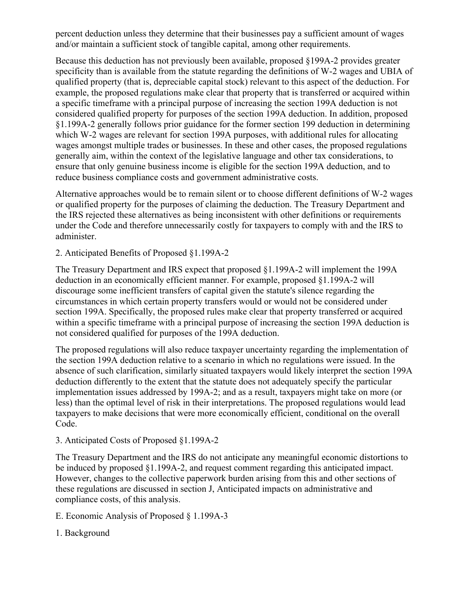percent deduction unless they determine that their businesses pay a sufficient amount of wages and/or maintain a sufficient stock of tangible capital, among other requirements.

Because this deduction has not previously been available, proposed §199A-2 provides greater specificity than is available from the statute regarding the definitions of W-2 wages and UBIA of qualified property (that is, depreciable capital stock) relevant to this aspect of the deduction. For example, the proposed regulations make clear that property that is transferred or acquired within a specific timeframe with a principal purpose of increasing the section 199A deduction is not considered qualified property for purposes of the section 199A deduction. In addition, proposed §1.199A-2 generally follows prior guidance for the former section 199 deduction in determining which W-2 wages are relevant for section 199A purposes, with additional rules for allocating wages amongst multiple trades or businesses. In these and other cases, the proposed regulations generally aim, within the context of the legislative language and other tax considerations, to ensure that only genuine business income is eligible for the section 199A deduction, and to reduce business compliance costs and government administrative costs.

Alternative approaches would be to remain silent or to choose different definitions of W-2 wages or qualified property for the purposes of claiming the deduction. The Treasury Department and the IRS rejected these alternatives as being inconsistent with other definitions or requirements under the Code and therefore unnecessarily costly for taxpayers to comply with and the IRS to administer.

# 2. Anticipated Benefits of Proposed §1.199A-2

The Treasury Department and IRS expect that proposed §1.199A-2 will implement the 199A deduction in an economically efficient manner. For example, proposed §1.199A-2 will discourage some inefficient transfers of capital given the statute's silence regarding the circumstances in which certain property transfers would or would not be considered under section 199A. Specifically, the proposed rules make clear that property transferred or acquired within a specific timeframe with a principal purpose of increasing the section 199A deduction is not considered qualified for purposes of the 199A deduction.

The proposed regulations will also reduce taxpayer uncertainty regarding the implementation of the section 199A deduction relative to a scenario in which no regulations were issued. In the absence of such clarification, similarly situated taxpayers would likely interpret the section 199A deduction differently to the extent that the statute does not adequately specify the particular implementation issues addressed by 199A-2; and as a result, taxpayers might take on more (or less) than the optimal level of risk in their interpretations. The proposed regulations would lead taxpayers to make decisions that were more economically efficient, conditional on the overall Code.

# 3. Anticipated Costs of Proposed §1.199A-2

The Treasury Department and the IRS do not anticipate any meaningful economic distortions to be induced by proposed §1.199A-2, and request comment regarding this anticipated impact. However, changes to the collective paperwork burden arising from this and other sections of these regulations are discussed in section J, Anticipated impacts on administrative and compliance costs, of this analysis.

- E. Economic Analysis of Proposed § 1.199A-3
- 1. Background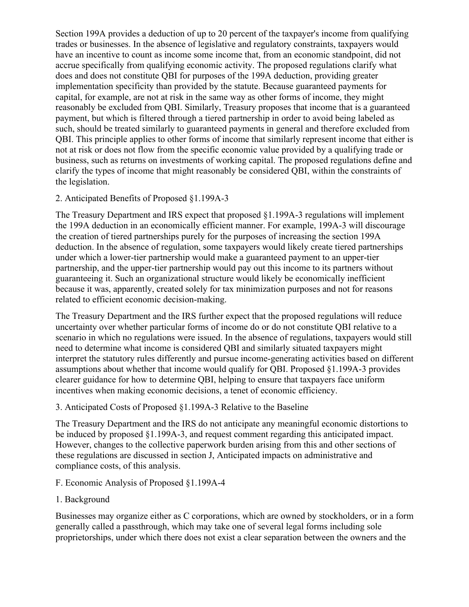Section 199A provides a deduction of up to 20 percent of the taxpayer's income from qualifying trades or businesses. In the absence of legislative and regulatory constraints, taxpayers would have an incentive to count as income some income that, from an economic standpoint, did not accrue specifically from qualifying economic activity. The proposed regulations clarify what does and does not constitute QBI for purposes of the 199A deduction, providing greater implementation specificity than provided by the statute. Because guaranteed payments for capital, for example, are not at risk in the same way as other forms of income, they might reasonably be excluded from QBI. Similarly, Treasury proposes that income that is a guaranteed payment, but which is filtered through a tiered partnership in order to avoid being labeled as such, should be treated similarly to guaranteed payments in general and therefore excluded from QBI. This principle applies to other forms of income that similarly represent income that either is not at risk or does not flow from the specific economic value provided by a qualifying trade or business, such as returns on investments of working capital. The proposed regulations define and clarify the types of income that might reasonably be considered QBI, within the constraints of the legislation.

#### 2. Anticipated Benefits of Proposed §1.199A-3

The Treasury Department and IRS expect that proposed §1.199A-3 regulations will implement the 199A deduction in an economically efficient manner. For example, 199A-3 will discourage the creation of tiered partnerships purely for the purposes of increasing the section 199A deduction. In the absence of regulation, some taxpayers would likely create tiered partnerships under which a lower-tier partnership would make a guaranteed payment to an upper-tier partnership, and the upper-tier partnership would pay out this income to its partners without guaranteeing it. Such an organizational structure would likely be economically inefficient because it was, apparently, created solely for tax minimization purposes and not for reasons related to efficient economic decision-making.

The Treasury Department and the IRS further expect that the proposed regulations will reduce uncertainty over whether particular forms of income do or do not constitute QBI relative to a scenario in which no regulations were issued. In the absence of regulations, taxpayers would still need to determine what income is considered QBI and similarly situated taxpayers might interpret the statutory rules differently and pursue income-generating activities based on different assumptions about whether that income would qualify for QBI. Proposed §1.199A-3 provides clearer guidance for how to determine QBI, helping to ensure that taxpayers face uniform incentives when making economic decisions, a tenet of economic efficiency.

# 3. Anticipated Costs of Proposed §1.199A-3 Relative to the Baseline

The Treasury Department and the IRS do not anticipate any meaningful economic distortions to be induced by proposed §1.199A-3, and request comment regarding this anticipated impact. However, changes to the collective paperwork burden arising from this and other sections of these regulations are discussed in section J, Anticipated impacts on administrative and compliance costs, of this analysis.

- F. Economic Analysis of Proposed §1.199A-4
- 1. Background

Businesses may organize either as C corporations, which are owned by stockholders, or in a form generally called a passthrough, which may take one of several legal forms including sole proprietorships, under which there does not exist a clear separation between the owners and the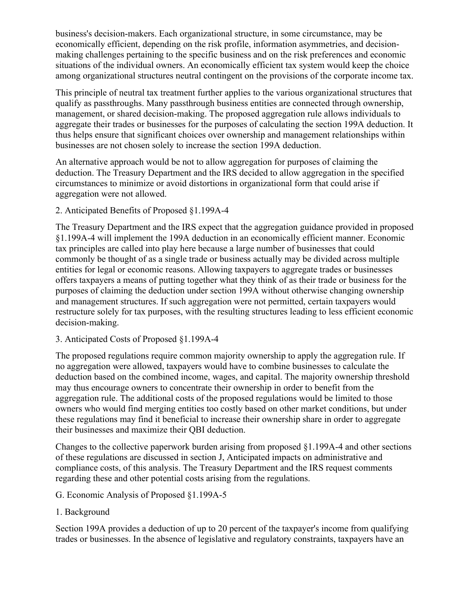business's decision-makers. Each organizational structure, in some circumstance, may be economically efficient, depending on the risk profile, information asymmetries, and decisionmaking challenges pertaining to the specific business and on the risk preferences and economic situations of the individual owners. An economically efficient tax system would keep the choice among organizational structures neutral contingent on the provisions of the corporate income tax.

This principle of neutral tax treatment further applies to the various organizational structures that qualify as passthroughs. Many passthrough business entities are connected through ownership, management, or shared decision-making. The proposed aggregation rule allows individuals to aggregate their trades or businesses for the purposes of calculating the section 199A deduction. It thus helps ensure that significant choices over ownership and management relationships within businesses are not chosen solely to increase the section 199A deduction.

An alternative approach would be not to allow aggregation for purposes of claiming the deduction. The Treasury Department and the IRS decided to allow aggregation in the specified circumstances to minimize or avoid distortions in organizational form that could arise if aggregation were not allowed.

2. Anticipated Benefits of Proposed §1.199A-4

The Treasury Department and the IRS expect that the aggregation guidance provided in proposed §1.199A-4 will implement the 199A deduction in an economically efficient manner. Economic tax principles are called into play here because a large number of businesses that could commonly be thought of as a single trade or business actually may be divided across multiple entities for legal or economic reasons. Allowing taxpayers to aggregate trades or businesses offers taxpayers a means of putting together what they think of as their trade or business for the purposes of claiming the deduction under section 199A without otherwise changing ownership and management structures. If such aggregation were not permitted, certain taxpayers would restructure solely for tax purposes, with the resulting structures leading to less efficient economic decision-making.

3. Anticipated Costs of Proposed §1.199A-4

The proposed regulations require common majority ownership to apply the aggregation rule. If no aggregation were allowed, taxpayers would have to combine businesses to calculate the deduction based on the combined income, wages, and capital. The majority ownership threshold may thus encourage owners to concentrate their ownership in order to benefit from the aggregation rule. The additional costs of the proposed regulations would be limited to those owners who would find merging entities too costly based on other market conditions, but under these regulations may find it beneficial to increase their ownership share in order to aggregate their businesses and maximize their QBI deduction.

Changes to the collective paperwork burden arising from proposed §1.199A-4 and other sections of these regulations are discussed in section J, Anticipated impacts on administrative and compliance costs, of this analysis. The Treasury Department and the IRS request comments regarding these and other potential costs arising from the regulations.

- G. Economic Analysis of Proposed §1.199A-5
- 1. Background

Section 199A provides a deduction of up to 20 percent of the taxpayer's income from qualifying trades or businesses. In the absence of legislative and regulatory constraints, taxpayers have an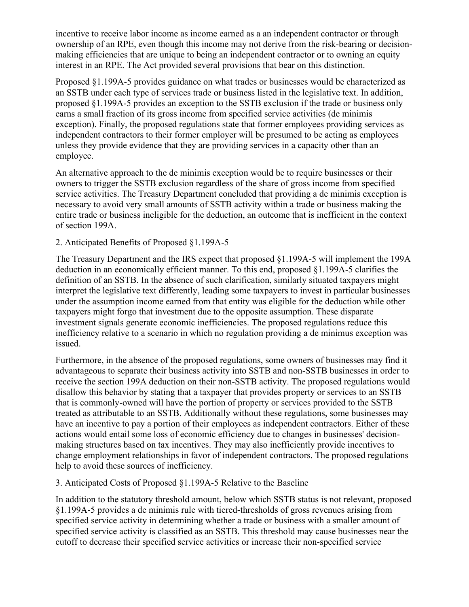incentive to receive labor income as income earned as a an independent contractor or through ownership of an RPE, even though this income may not derive from the risk-bearing or decisionmaking efficiencies that are unique to being an independent contractor or to owning an equity interest in an RPE. The Act provided several provisions that bear on this distinction.

Proposed §1.199A-5 provides guidance on what trades or businesses would be characterized as an SSTB under each type of services trade or business listed in the legislative text. In addition, proposed §1.199A-5 provides an exception to the SSTB exclusion if the trade or business only earns a small fraction of its gross income from specified service activities (de minimis exception). Finally, the proposed regulations state that former employees providing services as independent contractors to their former employer will be presumed to be acting as employees unless they provide evidence that they are providing services in a capacity other than an employee.

An alternative approach to the de minimis exception would be to require businesses or their owners to trigger the SSTB exclusion regardless of the share of gross income from specified service activities. The Treasury Department concluded that providing a de minimis exception is necessary to avoid very small amounts of SSTB activity within a trade or business making the entire trade or business ineligible for the deduction, an outcome that is inefficient in the context of section 199A.

#### 2. Anticipated Benefits of Proposed §1.199A-5

The Treasury Department and the IRS expect that proposed §1.199A-5 will implement the 199A deduction in an economically efficient manner. To this end, proposed §1.199A-5 clarifies the definition of an SSTB. In the absence of such clarification, similarly situated taxpayers might interpret the legislative text differently, leading some taxpayers to invest in particular businesses under the assumption income earned from that entity was eligible for the deduction while other taxpayers might forgo that investment due to the opposite assumption. These disparate investment signals generate economic inefficiencies. The proposed regulations reduce this inefficiency relative to a scenario in which no regulation providing a de minimus exception was issued.

Furthermore, in the absence of the proposed regulations, some owners of businesses may find it advantageous to separate their business activity into SSTB and non-SSTB businesses in order to receive the section 199A deduction on their non-SSTB activity. The proposed regulations would disallow this behavior by stating that a taxpayer that provides property or services to an SSTB that is commonly-owned will have the portion of property or services provided to the SSTB treated as attributable to an SSTB. Additionally without these regulations, some businesses may have an incentive to pay a portion of their employees as independent contractors. Either of these actions would entail some loss of economic efficiency due to changes in businesses' decisionmaking structures based on tax incentives. They may also inefficiently provide incentives to change employment relationships in favor of independent contractors. The proposed regulations help to avoid these sources of inefficiency.

3. Anticipated Costs of Proposed §1.199A-5 Relative to the Baseline

In addition to the statutory threshold amount, below which SSTB status is not relevant, proposed §1.199A-5 provides a de minimis rule with tiered-thresholds of gross revenues arising from specified service activity in determining whether a trade or business with a smaller amount of specified service activity is classified as an SSTB. This threshold may cause businesses near the cutoff to decrease their specified service activities or increase their non-specified service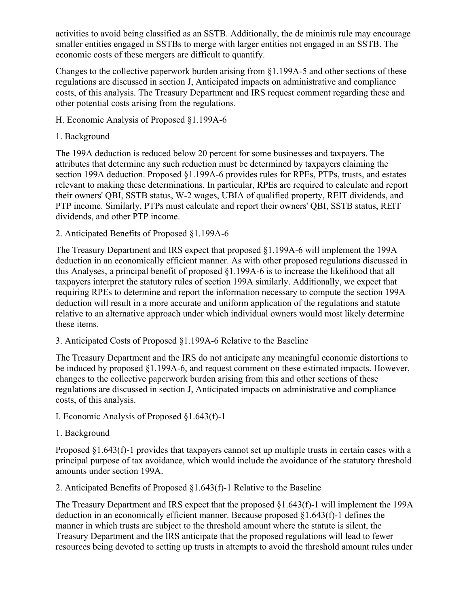activities to avoid being classified as an SSTB. Additionally, the de minimis rule may encourage smaller entities engaged in SSTBs to merge with larger entities not engaged in an SSTB. The economic costs of these mergers are difficult to quantify.

Changes to the collective paperwork burden arising from §1.199A-5 and other sections of these regulations are discussed in section J, Anticipated impacts on administrative and compliance costs, of this analysis. The Treasury Department and IRS request comment regarding these and other potential costs arising from the regulations.

- H. Economic Analysis of Proposed §1.199A-6
- 1. Background

The 199A deduction is reduced below 20 percent for some businesses and taxpayers. The attributes that determine any such reduction must be determined by taxpayers claiming the section 199A deduction. Proposed §1.199A-6 provides rules for RPEs, PTPs, trusts, and estates relevant to making these determinations. In particular, RPEs are required to calculate and report their owners' QBI, SSTB status, W-2 wages, UBIA of qualified property, REIT dividends, and PTP income. Similarly, PTPs must calculate and report their owners' QBI, SSTB status, REIT dividends, and other PTP income.

2. Anticipated Benefits of Proposed §1.199A-6

The Treasury Department and IRS expect that proposed §1.199A-6 will implement the 199A deduction in an economically efficient manner. As with other proposed regulations discussed in this Analyses, a principal benefit of proposed §1.199A-6 is to increase the likelihood that all taxpayers interpret the statutory rules of section 199A similarly. Additionally, we expect that requiring RPEs to determine and report the information necessary to compute the section 199A deduction will result in a more accurate and uniform application of the regulations and statute relative to an alternative approach under which individual owners would most likely determine these items.

3. Anticipated Costs of Proposed §1.199A-6 Relative to the Baseline

The Treasury Department and the IRS do not anticipate any meaningful economic distortions to be induced by proposed §1.199A-6, and request comment on these estimated impacts. However, changes to the collective paperwork burden arising from this and other sections of these regulations are discussed in section J, Anticipated impacts on administrative and compliance costs, of this analysis.

- I. Economic Analysis of Proposed §1.643(f)-1
- 1. Background

Proposed §1.643(f)-1 provides that taxpayers cannot set up multiple trusts in certain cases with a principal purpose of tax avoidance, which would include the avoidance of the statutory threshold amounts under section 199A.

2. Anticipated Benefits of Proposed §1.643(f)-1 Relative to the Baseline

The Treasury Department and IRS expect that the proposed §1.643(f)-1 will implement the 199A deduction in an economically efficient manner. Because proposed §1.643(f)-1 defines the manner in which trusts are subject to the threshold amount where the statute is silent, the Treasury Department and the IRS anticipate that the proposed regulations will lead to fewer resources being devoted to setting up trusts in attempts to avoid the threshold amount rules under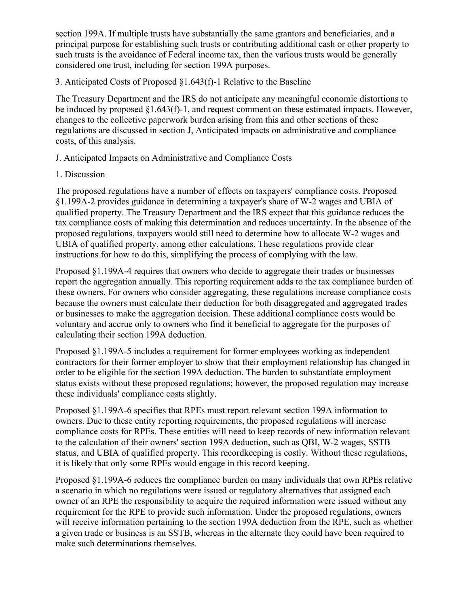section 199A. If multiple trusts have substantially the same grantors and beneficiaries, and a principal purpose for establishing such trusts or contributing additional cash or other property to such trusts is the avoidance of Federal income tax, then the various trusts would be generally considered one trust, including for section 199A purposes.

3. Anticipated Costs of Proposed §1.643(f)-1 Relative to the Baseline

The Treasury Department and the IRS do not anticipate any meaningful economic distortions to be induced by proposed §1.643(f)-1, and request comment on these estimated impacts. However, changes to the collective paperwork burden arising from this and other sections of these regulations are discussed in section J, Anticipated impacts on administrative and compliance costs, of this analysis.

J. Anticipated Impacts on Administrative and Compliance Costs

1. Discussion

The proposed regulations have a number of effects on taxpayers' compliance costs. Proposed §1.199A-2 provides guidance in determining a taxpayer's share of W-2 wages and UBIA of qualified property. The Treasury Department and the IRS expect that this guidance reduces the tax compliance costs of making this determination and reduces uncertainty. In the absence of the proposed regulations, taxpayers would still need to determine how to allocate W-2 wages and UBIA of qualified property, among other calculations. These regulations provide clear instructions for how to do this, simplifying the process of complying with the law.

Proposed §1.199A-4 requires that owners who decide to aggregate their trades or businesses report the aggregation annually. This reporting requirement adds to the tax compliance burden of these owners. For owners who consider aggregating, these regulations increase compliance costs because the owners must calculate their deduction for both disaggregated and aggregated trades or businesses to make the aggregation decision. These additional compliance costs would be voluntary and accrue only to owners who find it beneficial to aggregate for the purposes of calculating their section 199A deduction.

Proposed §1.199A-5 includes a requirement for former employees working as independent contractors for their former employer to show that their employment relationship has changed in order to be eligible for the section 199A deduction. The burden to substantiate employment status exists without these proposed regulations; however, the proposed regulation may increase these individuals' compliance costs slightly.

Proposed §1.199A-6 specifies that RPEs must report relevant section 199A information to owners. Due to these entity reporting requirements, the proposed regulations will increase compliance costs for RPEs. These entities will need to keep records of new information relevant to the calculation of their owners' section 199A deduction, such as QBI, W-2 wages, SSTB status, and UBIA of qualified property. This recordkeeping is costly. Without these regulations, it is likely that only some RPEs would engage in this record keeping.

Proposed §1.199A-6 reduces the compliance burden on many individuals that own RPEs relative a scenario in which no regulations were issued or regulatory alternatives that assigned each owner of an RPE the responsibility to acquire the required information were issued without any requirement for the RPE to provide such information. Under the proposed regulations, owners will receive information pertaining to the section 199A deduction from the RPE, such as whether a given trade or business is an SSTB, whereas in the alternate they could have been required to make such determinations themselves.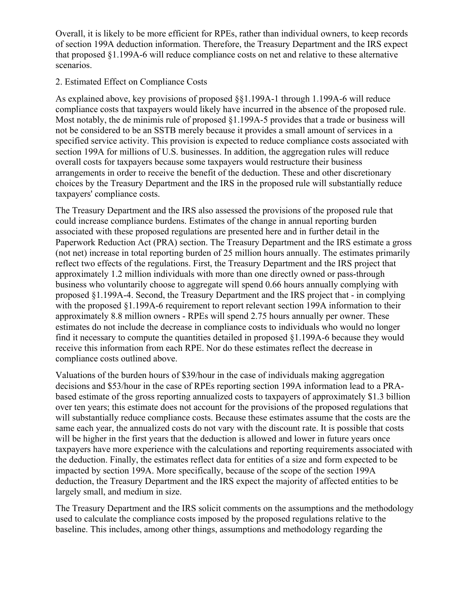Overall, it is likely to be more efficient for RPEs, rather than individual owners, to keep records of section 199A deduction information. Therefore, the Treasury Department and the IRS expect that proposed §1.199A-6 will reduce compliance costs on net and relative to these alternative scenarios.

#### 2. Estimated Effect on Compliance Costs

As explained above, key provisions of proposed §§1.199A-1 through 1.199A-6 will reduce compliance costs that taxpayers would likely have incurred in the absence of the proposed rule. Most notably, the de minimis rule of proposed §1.199A-5 provides that a trade or business will not be considered to be an SSTB merely because it provides a small amount of services in a specified service activity. This provision is expected to reduce compliance costs associated with section 199A for millions of U.S. businesses. In addition, the aggregation rules will reduce overall costs for taxpayers because some taxpayers would restructure their business arrangements in order to receive the benefit of the deduction. These and other discretionary choices by the Treasury Department and the IRS in the proposed rule will substantially reduce taxpayers' compliance costs.

The Treasury Department and the IRS also assessed the provisions of the proposed rule that could increase compliance burdens. Estimates of the change in annual reporting burden associated with these proposed regulations are presented here and in further detail in the Paperwork Reduction Act (PRA) section. The Treasury Department and the IRS estimate a gross (not net) increase in total reporting burden of 25 million hours annually. The estimates primarily reflect two effects of the regulations. First, the Treasury Department and the IRS project that approximately 1.2 million individuals with more than one directly owned or pass-through business who voluntarily choose to aggregate will spend 0.66 hours annually complying with proposed §1.199A-4. Second, the Treasury Department and the IRS project that - in complying with the proposed §1.199A-6 requirement to report relevant section 199A information to their approximately 8.8 million owners - RPEs will spend 2.75 hours annually per owner. These estimates do not include the decrease in compliance costs to individuals who would no longer find it necessary to compute the quantities detailed in proposed §1.199A-6 because they would receive this information from each RPE. Nor do these estimates reflect the decrease in compliance costs outlined above.

Valuations of the burden hours of \$39/hour in the case of individuals making aggregation decisions and \$53/hour in the case of RPEs reporting section 199A information lead to a PRAbased estimate of the gross reporting annualized costs to taxpayers of approximately \$1.3 billion over ten years; this estimate does not account for the provisions of the proposed regulations that will substantially reduce compliance costs. Because these estimates assume that the costs are the same each year, the annualized costs do not vary with the discount rate. It is possible that costs will be higher in the first years that the deduction is allowed and lower in future years once taxpayers have more experience with the calculations and reporting requirements associated with the deduction. Finally, the estimates reflect data for entities of a size and form expected to be impacted by section 199A. More specifically, because of the scope of the section 199A deduction, the Treasury Department and the IRS expect the majority of affected entities to be largely small, and medium in size.

The Treasury Department and the IRS solicit comments on the assumptions and the methodology used to calculate the compliance costs imposed by the proposed regulations relative to the baseline. This includes, among other things, assumptions and methodology regarding the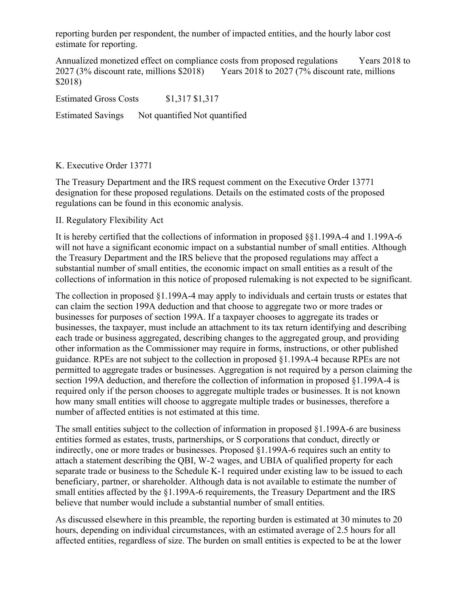reporting burden per respondent, the number of impacted entities, and the hourly labor cost estimate for reporting.

Annualized monetized effect on compliance costs from proposed regulations Years 2018 to 2027 (3% discount rate, millions \$2018) Years 2018 to 2027 (7% discount rate, millions \$2018)

Estimated Gross Costs \$1,317 \$1,317

Estimated Savings Not quantified Not quantified

#### K. Executive Order 13771

The Treasury Department and the IRS request comment on the Executive Order 13771 designation for these proposed regulations. Details on the estimated costs of the proposed regulations can be found in this economic analysis.

#### II. Regulatory Flexibility Act

It is hereby certified that the collections of information in proposed §§1.199A-4 and 1.199A-6 will not have a significant economic impact on a substantial number of small entities. Although the Treasury Department and the IRS believe that the proposed regulations may affect a substantial number of small entities, the economic impact on small entities as a result of the collections of information in this notice of proposed rulemaking is not expected to be significant.

The collection in proposed §1.199A-4 may apply to individuals and certain trusts or estates that can claim the section 199A deduction and that choose to aggregate two or more trades or businesses for purposes of section 199A. If a taxpayer chooses to aggregate its trades or businesses, the taxpayer, must include an attachment to its tax return identifying and describing each trade or business aggregated, describing changes to the aggregated group, and providing other information as the Commissioner may require in forms, instructions, or other published guidance. RPEs are not subject to the collection in proposed §1.199A-4 because RPEs are not permitted to aggregate trades or businesses. Aggregation is not required by a person claiming the section 199A deduction, and therefore the collection of information in proposed §1.199A-4 is required only if the person chooses to aggregate multiple trades or businesses. It is not known how many small entities will choose to aggregate multiple trades or businesses, therefore a number of affected entities is not estimated at this time.

The small entities subject to the collection of information in proposed §1.199A-6 are business entities formed as estates, trusts, partnerships, or S corporations that conduct, directly or indirectly, one or more trades or businesses. Proposed §1.199A-6 requires such an entity to attach a statement describing the QBI, W-2 wages, and UBIA of qualified property for each separate trade or business to the Schedule K-1 required under existing law to be issued to each beneficiary, partner, or shareholder. Although data is not available to estimate the number of small entities affected by the §1.199A-6 requirements, the Treasury Department and the IRS believe that number would include a substantial number of small entities.

As discussed elsewhere in this preamble, the reporting burden is estimated at 30 minutes to 20 hours, depending on individual circumstances, with an estimated average of 2.5 hours for all affected entities, regardless of size. The burden on small entities is expected to be at the lower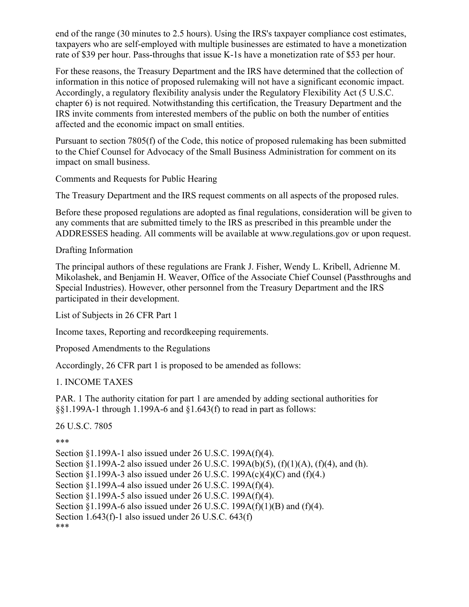end of the range (30 minutes to 2.5 hours). Using the IRS's taxpayer compliance cost estimates, taxpayers who are self-employed with multiple businesses are estimated to have a monetization rate of \$39 per hour. Pass-throughs that issue K-1s have a monetization rate of \$53 per hour.

For these reasons, the Treasury Department and the IRS have determined that the collection of information in this notice of proposed rulemaking will not have a significant economic impact. Accordingly, a regulatory flexibility analysis under the Regulatory Flexibility Act (5 U.S.C. chapter 6) is not required. Notwithstanding this certification, the Treasury Department and the IRS invite comments from interested members of the public on both the number of entities affected and the economic impact on small entities.

Pursuant to section 7805(f) of the Code, this notice of proposed rulemaking has been submitted to the Chief Counsel for Advocacy of the Small Business Administration for comment on its impact on small business.

Comments and Requests for Public Hearing

The Treasury Department and the IRS request comments on all aspects of the proposed rules.

Before these proposed regulations are adopted as final regulations, consideration will be given to any comments that are submitted timely to the IRS as prescribed in this preamble under the ADDRESSES heading. All comments will be available at www.regulations.gov or upon request.

Drafting Information

The principal authors of these regulations are Frank J. Fisher, Wendy L. Kribell, Adrienne M. Mikolashek, and Benjamin H. Weaver, Office of the Associate Chief Counsel (Passthroughs and Special Industries). However, other personnel from the Treasury Department and the IRS participated in their development.

List of Subjects in 26 CFR Part 1

Income taxes, Reporting and recordkeeping requirements.

Proposed Amendments to the Regulations

Accordingly, 26 CFR part 1 is proposed to be amended as follows:

1. INCOME TAXES

PAR. 1 The authority citation for part 1 are amended by adding sectional authorities for §§1.199A-1 through 1.199A-6 and §1.643(f) to read in part as follows:

26 U.S.C. 7805

\*\*\*

Section §1.199A-1 also issued under 26 U.S.C. 199A(f)(4). Section §1.199A-2 also issued under 26 U.S.C. 199A(b)(5), (f)(1)(A), (f)(4), and (h). Section §1.199A-3 also issued under 26 U.S.C. 199A(c)(4)(C) and (f)(4.) Section §1.199A-4 also issued under 26 U.S.C. 199A(f)(4). Section §1.199A-5 also issued under 26 U.S.C. 199A(f)(4). Section §1.199A-6 also issued under 26 U.S.C. 199A(f)(1)(B) and (f)(4). Section 1.643(f)-1 also issued under 26 U.S.C. 643(f) \*\*\*